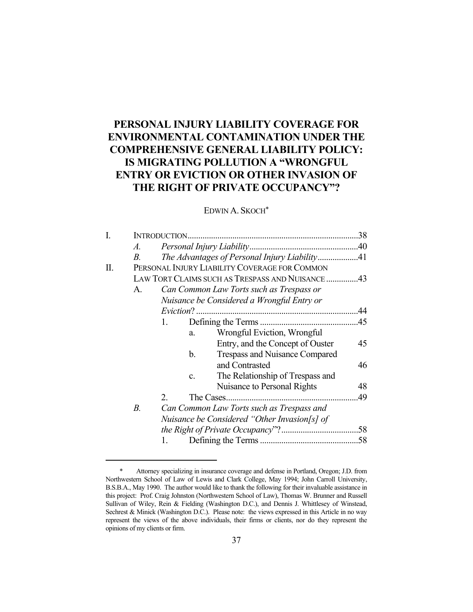# **PERSONAL INJURY LIABILITY COVERAGE FOR ENVIRONMENTAL CONTAMINATION UNDER THE COMPREHENSIVE GENERAL LIABILITY POLICY: IS MIGRATING POLLUTION A "WRONGFUL ENTRY OR EVICTION OR OTHER INVASION OF THE RIGHT OF PRIVATE OCCUPANCY"?**

## EDWIN A. SKOCH\*

| Ī. |                                                 |                                               |                                           |                                  |     |  |
|----|-------------------------------------------------|-----------------------------------------------|-------------------------------------------|----------------------------------|-----|--|
|    | A.                                              |                                               |                                           |                                  |     |  |
|    | В.                                              | The Advantages of Personal Injury Liability41 |                                           |                                  |     |  |
| П. | PERSONAL INJURY LIABILITY COVERAGE FOR COMMON   |                                               |                                           |                                  |     |  |
|    | LAW TORT CLAIMS SUCH AS TRESPASS AND NUISANCE43 |                                               |                                           |                                  |     |  |
|    | A.                                              | Can Common Law Torts such as Trespass or      |                                           |                                  |     |  |
|    |                                                 | Nuisance be Considered a Wrongful Entry or    |                                           |                                  |     |  |
|    |                                                 |                                               |                                           |                                  |     |  |
|    |                                                 | 1.                                            |                                           |                                  |     |  |
|    |                                                 |                                               | a.                                        | Wrongful Eviction, Wrongful      |     |  |
|    |                                                 |                                               |                                           | Entry, and the Concept of Ouster | 45  |  |
|    |                                                 |                                               | b.                                        | Trespass and Nuisance Compared   |     |  |
|    |                                                 |                                               |                                           | and Contrasted                   | 46  |  |
|    |                                                 |                                               | c.                                        | The Relationship of Trespass and |     |  |
|    |                                                 |                                               |                                           | Nuisance to Personal Rights      | 48  |  |
|    |                                                 | 2.                                            |                                           |                                  | .49 |  |
|    | $B$ .                                           |                                               | Can Common Law Torts such as Trespass and |                                  |     |  |
|    |                                                 | Nuisance be Considered "Other Invasion[s] of  |                                           |                                  |     |  |
|    |                                                 |                                               |                                           |                                  |     |  |
|    |                                                 | 1.                                            |                                           |                                  |     |  |
|    |                                                 |                                               |                                           |                                  |     |  |

 <sup>\*</sup> Attorney specializing in insurance coverage and defense in Portland, Oregon; J.D. from Northwestern School of Law of Lewis and Clark College, May 1994; John Carroll University, B.S.B.A., May 1990. The author would like to thank the following for their invaluable assistance in this project: Prof. Craig Johnston (Northwestern School of Law), Thomas W. Brunner and Russell Sullivan of Wiley, Rein & Fielding (Washington D.C.), and Dennis J. Whittlesey of Winstead, Sechrest & Minick (Washington D.C.). Please note: the views expressed in this Article in no way represent the views of the above individuals, their firms or clients, nor do they represent the opinions of my clients or firm.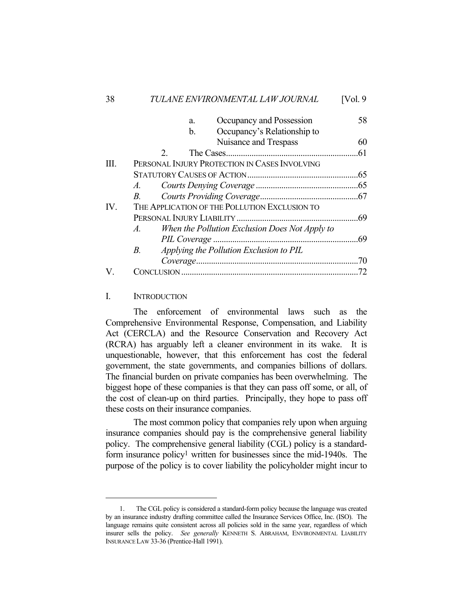|      | Occupancy and Possession<br>a.                                   | 58 |  |  |  |  |
|------|------------------------------------------------------------------|----|--|--|--|--|
|      | Occupancy's Relationship to<br>b.                                |    |  |  |  |  |
|      | Nuisance and Trespass                                            | 60 |  |  |  |  |
|      | 2 <sub>1</sub>                                                   |    |  |  |  |  |
| III. | PERSONAL INJURY PROTECTION IN CASES INVOLVING                    |    |  |  |  |  |
|      |                                                                  |    |  |  |  |  |
|      | <i>A</i> .                                                       |    |  |  |  |  |
|      | $B_{\cdot}$                                                      |    |  |  |  |  |
| IV.  | THE APPLICATION OF THE POLLUTION EXCLUSION TO                    |    |  |  |  |  |
|      |                                                                  |    |  |  |  |  |
|      | When the Pollution Exclusion Does Not Apply to<br>$\overline{A}$ |    |  |  |  |  |
|      |                                                                  |    |  |  |  |  |
|      | $B_{\cdot}$<br>Applying the Pollution Exclusion to PIL           |    |  |  |  |  |
|      |                                                                  | 70 |  |  |  |  |
|      | CONCLUSION.                                                      |    |  |  |  |  |

### I. INTRODUCTION

 The enforcement of environmental laws such as the Comprehensive Environmental Response, Compensation, and Liability Act (CERCLA) and the Resource Conservation and Recovery Act (RCRA) has arguably left a cleaner environment in its wake. It is unquestionable, however, that this enforcement has cost the federal government, the state governments, and companies billions of dollars. The financial burden on private companies has been overwhelming. The biggest hope of these companies is that they can pass off some, or all, of the cost of clean-up on third parties. Principally, they hope to pass off these costs on their insurance companies.

 The most common policy that companies rely upon when arguing insurance companies should pay is the comprehensive general liability policy. The comprehensive general liability (CGL) policy is a standardform insurance policy<sup>1</sup> written for businesses since the mid-1940s. The purpose of the policy is to cover liability the policyholder might incur to

 <sup>1.</sup> The CGL policy is considered a standard-form policy because the language was created by an insurance industry drafting committee called the Insurance Services Office, Inc. (ISO). The language remains quite consistent across all policies sold in the same year, regardless of which insurer sells the policy. *See generally* KENNETH S. ABRAHAM, ENVIRONMENTAL LIABILITY INSURANCE LAW 33-36 (Prentice-Hall 1991).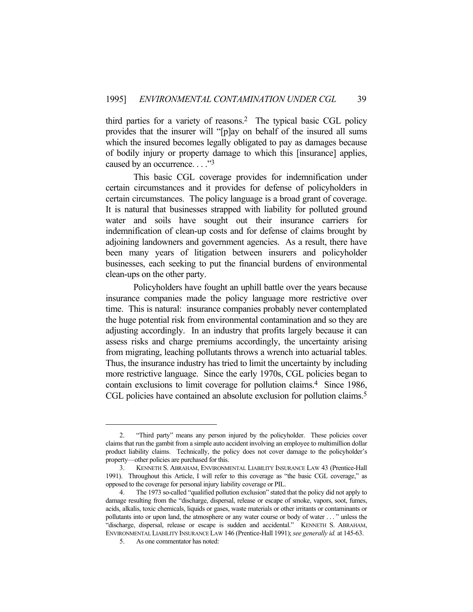third parties for a variety of reasons.2 The typical basic CGL policy provides that the insurer will "[p]ay on behalf of the insured all sums which the insured becomes legally obligated to pay as damages because of bodily injury or property damage to which this [insurance] applies, caused by an occurrence. . . ."3

 This basic CGL coverage provides for indemnification under certain circumstances and it provides for defense of policyholders in certain circumstances. The policy language is a broad grant of coverage. It is natural that businesses strapped with liability for polluted ground water and soils have sought out their insurance carriers for indemnification of clean-up costs and for defense of claims brought by adjoining landowners and government agencies. As a result, there have been many years of litigation between insurers and policyholder businesses, each seeking to put the financial burdens of environmental clean-ups on the other party.

 Policyholders have fought an uphill battle over the years because insurance companies made the policy language more restrictive over time. This is natural: insurance companies probably never contemplated the huge potential risk from environmental contamination and so they are adjusting accordingly. In an industry that profits largely because it can assess risks and charge premiums accordingly, the uncertainty arising from migrating, leaching pollutants throws a wrench into actuarial tables. Thus, the insurance industry has tried to limit the uncertainty by including more restrictive language. Since the early 1970s, CGL policies began to contain exclusions to limit coverage for pollution claims.4 Since 1986, CGL policies have contained an absolute exclusion for pollution claims.<sup>5</sup>

 <sup>2. &</sup>quot;Third party" means any person injured by the policyholder. These policies cover claims that run the gambit from a simple auto accident involving an employee to multimillion dollar product liability claims. Technically, the policy does not cover damage to the policyholder's property—other policies are purchased for this.

 <sup>3.</sup> KENNETH S. ABRAHAM, ENVIRONMENTAL LIABILITY INSURANCE LAW 43 (Prentice-Hall 1991). Throughout this Article, I will refer to this coverage as "the basic CGL coverage," as opposed to the coverage for personal injury liability coverage or PIL.

 <sup>4.</sup> The 1973 so-called "qualified pollution exclusion" stated that the policy did not apply to damage resulting from the "discharge, dispersal, release or escape of smoke, vapors, soot, fumes, acids, alkalis, toxic chemicals, liquids or gases, waste materials or other irritants or contaminants or pollutants into or upon land, the atmosphere or any water course or body of water . . . " unless the "discharge, dispersal, release or escape is sudden and accidental." KENNETH S. ABRAHAM, ENVIRONMENTAL LIABILITY INSURANCE LAW 146 (Prentice-Hall 1991); *see generally id.* at 145-63.

 <sup>5.</sup> As one commentator has noted: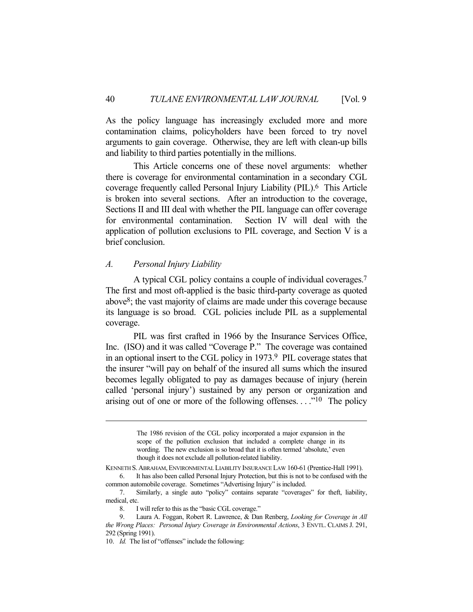As the policy language has increasingly excluded more and more contamination claims, policyholders have been forced to try novel arguments to gain coverage. Otherwise, they are left with clean-up bills and liability to third parties potentially in the millions.

 This Article concerns one of these novel arguments: whether there is coverage for environmental contamination in a secondary CGL coverage frequently called Personal Injury Liability (PIL).6 This Article is broken into several sections. After an introduction to the coverage, Sections II and III deal with whether the PIL language can offer coverage for environmental contamination. Section IV will deal with the application of pollution exclusions to PIL coverage, and Section V is a brief conclusion.

## *A. Personal Injury Liability*

 A typical CGL policy contains a couple of individual coverages. 7 The first and most oft-applied is the basic third-party coverage as quoted above8; the vast majority of claims are made under this coverage because its language is so broad. CGL policies include PIL as a supplemental coverage.

 PIL was first crafted in 1966 by the Insurance Services Office, Inc. (ISO) and it was called "Coverage P." The coverage was contained in an optional insert to the CGL policy in 1973.9 PIL coverage states that the insurer "will pay on behalf of the insured all sums which the insured becomes legally obligated to pay as damages because of injury (herein called 'personal injury') sustained by any person or organization and arising out of one or more of the following offenses...."<sup>10</sup> The policy

The 1986 revision of the CGL policy incorporated a major expansion in the scope of the pollution exclusion that included a complete change in its wording. The new exclusion is so broad that it is often termed 'absolute,' even though it does not exclude all pollution-related liability.

KENNETH S.ABRAHAM,ENVIRONMENTAL LIABILITY INSURANCE LAW 160-61 (Prentice-Hall 1991).

 <sup>6.</sup> It has also been called Personal Injury Protection, but this is not to be confused with the common automobile coverage. Sometimes "Advertising Injury" is included.

 <sup>7.</sup> Similarly, a single auto "policy" contains separate "coverages" for theft, liability, medical, etc.

 <sup>8.</sup> I will refer to this as the "basic CGL coverage."

 <sup>9.</sup> Laura A. Foggan, Robert R. Lawrence, & Dan Renberg, *Looking for Coverage in All the Wrong Places: Personal Injury Coverage in Environmental Actions*, 3 ENVTL. CLAIMS J. 291, 292 (Spring 1991).

<sup>10.</sup> *Id.* The list of "offenses" include the following: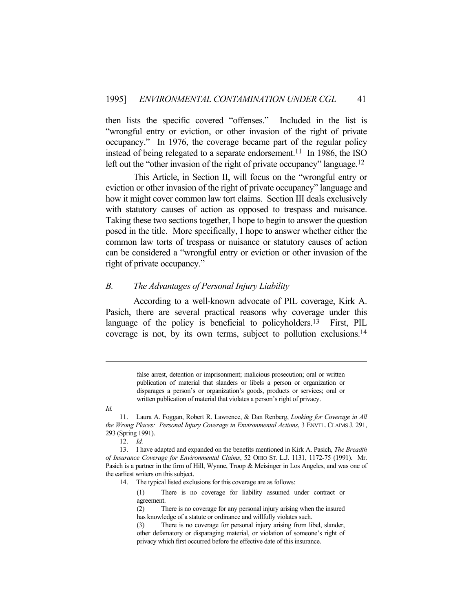then lists the specific covered "offenses." Included in the list is "wrongful entry or eviction, or other invasion of the right of private occupancy." In 1976, the coverage became part of the regular policy instead of being relegated to a separate endorsement.<sup>11</sup> In 1986, the ISO left out the "other invasion of the right of private occupancy" language.<sup>12</sup>

 This Article, in Section II, will focus on the "wrongful entry or eviction or other invasion of the right of private occupancy" language and how it might cover common law tort claims. Section III deals exclusively with statutory causes of action as opposed to trespass and nuisance. Taking these two sections together, I hope to begin to answer the question posed in the title. More specifically, I hope to answer whether either the common law torts of trespass or nuisance or statutory causes of action can be considered a "wrongful entry or eviction or other invasion of the right of private occupancy."

### *B. The Advantages of Personal Injury Liability*

 According to a well-known advocate of PIL coverage, Kirk A. Pasich, there are several practical reasons why coverage under this language of the policy is beneficial to policyholders.<sup>13</sup> First, PIL coverage is not, by its own terms, subject to pollution exclusions.14

> false arrest, detention or imprisonment; malicious prosecution; oral or written publication of material that slanders or libels a person or organization or disparages a person's or organization's goods, products or services; oral or written publication of material that violates a person's right of privacy.

12. *Id.*

(1) There is no coverage for liability assumed under contract or agreement.

(2) There is no coverage for any personal injury arising when the insured has knowledge of a statute or ordinance and willfully violates such.

(3) There is no coverage for personal injury arising from libel, slander, other defamatory or disparaging material, or violation of someone's right of privacy which first occurred before the effective date of this insurance.

*Id.*

 <sup>11.</sup> Laura A. Foggan, Robert R. Lawrence, & Dan Renberg, *Looking for Coverage in All the Wrong Places: Personal Injury Coverage in Environmental Actions*, 3 ENVTL. CLAIMS J. 291, 293 (Spring 1991).

 <sup>13.</sup> I have adapted and expanded on the benefits mentioned in Kirk A. Pasich, *The Breadth of Insurance Coverage for Environmental Claims*, 52 OHIO ST. L.J. 1131, 1172-75 (1991). Mr. Pasich is a partner in the firm of Hill, Wynne, Troop & Meisinger in Los Angeles, and was one of the earliest writers on this subject.

 <sup>14.</sup> The typical listed exclusions for this coverage are as follows: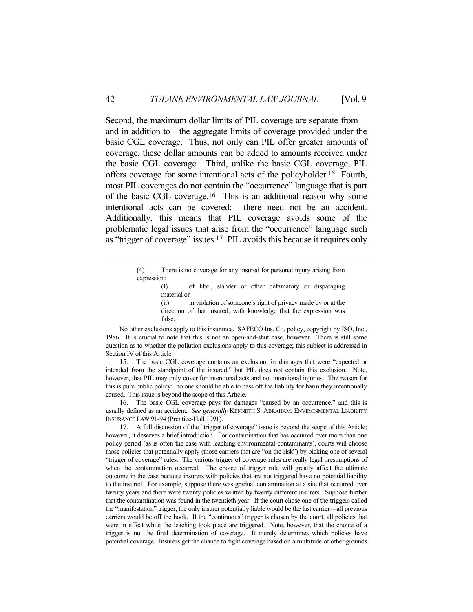Second, the maximum dollar limits of PIL coverage are separate from and in addition to—the aggregate limits of coverage provided under the basic CGL coverage. Thus, not only can PIL offer greater amounts of coverage, these dollar amounts can be added to amounts received under the basic CGL coverage. Third, unlike the basic CGL coverage, PIL offers coverage for some intentional acts of the policyholder.15 Fourth, most PIL coverages do not contain the "occurrence" language that is part of the basic CGL coverage.16 This is an additional reason why some intentional acts can be covered: there need not be an accident. Additionally, this means that PIL coverage avoids some of the problematic legal issues that arise from the "occurrence" language such as "trigger of coverage" issues.17 PIL avoids this because it requires only

> (4) There is no coverage for any insured for personal injury arising from expression:

 (I) of libel, slander or other defamatory or disparaging material or

 (ii) in violation of someone's right of privacy made by or at the direction of that insured, with knowledge that the expression was false.

 No other exclusions apply to this insurance. SAFECO Ins. Co. policy, copyright by ISO, Inc., 1986. It is crucial to note that this is not an open-and-shut case, however. There is still some question as to whether the pollution exclusions apply to this coverage; this subject is addressed in Section IV of this Article.

 15. The basic CGL coverage contains an exclusion for damages that were "expected or intended from the standpoint of the insured," but PIL does not contain this exclusion. Note, however, that PIL may only cover for intentional acts and not intentional injuries. The reason for this is pure public policy: no one should be able to pass off the liability for harm they intentionally caused. This issue is beyond the scope of this Article.

 16. The basic CGL coverage pays for damages "caused by an occurrence," and this is usually defined as an accident. *See generally* KENNETH S. ABRAHAM, ENVIRONMENTAL LIABILITY INSURANCE LAW 91-94 (Prentice-Hall 1991).

 17. A full discussion of the "trigger of coverage" issue is beyond the scope of this Article; however, it deserves a brief introduction. For contamination that has occurred over more than one policy period (as is often the case with leaching environmental contaminants), courts will choose those policies that potentially apply (those carriers that are "on the risk") by picking one of several "trigger of coverage" rules. The various trigger of coverage rules are really legal presumptions of when the contamination occurred. The choice of trigger rule will greatly affect the ultimate outcome in the case because insurers with policies that are not triggered have no potential liability to the insured. For example, suppose there was gradual contamination at a site that occurred over twenty years and there were twenty policies written by twenty different insurers. Suppose further that the contamination was found in the twentieth year. If the court chose one of the triggers called the "manifestation" trigger, the only insurer potentially liable would be the last carrier—all previous carriers would be off the hook. If the "continuous" trigger is chosen by the court, all policies that were in effect while the leaching took place are triggered. Note, however, that the choice of a trigger is not the final determination of coverage. It merely determines which policies have potential coverage. Insurers get the chance to fight coverage based on a multitude of other grounds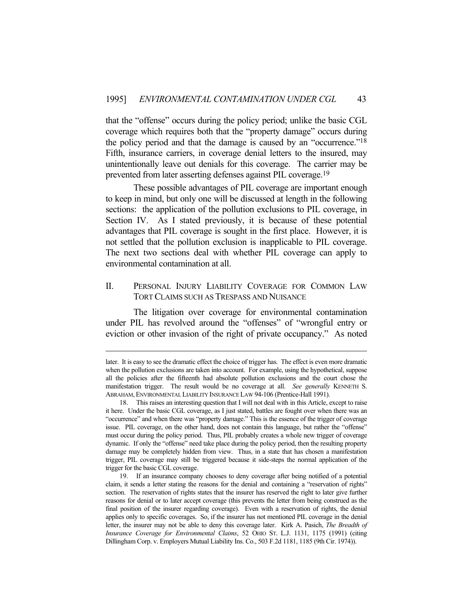that the "offense" occurs during the policy period; unlike the basic CGL coverage which requires both that the "property damage" occurs during the policy period and that the damage is caused by an "occurrence."18 Fifth, insurance carriers, in coverage denial letters to the insured, may unintentionally leave out denials for this coverage. The carrier may be prevented from later asserting defenses against PIL coverage.19

 These possible advantages of PIL coverage are important enough to keep in mind, but only one will be discussed at length in the following sections: the application of the pollution exclusions to PIL coverage, in Section IV. As I stated previously, it is because of these potential advantages that PIL coverage is sought in the first place. However, it is not settled that the pollution exclusion is inapplicable to PIL coverage. The next two sections deal with whether PIL coverage can apply to environmental contamination at all.

## II. PERSONAL INJURY LIABILITY COVERAGE FOR COMMON LAW TORT CLAIMS SUCH AS TRESPASS AND NUISANCE

 The litigation over coverage for environmental contamination under PIL has revolved around the "offenses" of "wrongful entry or eviction or other invasion of the right of private occupancy." As noted

later. It is easy to see the dramatic effect the choice of trigger has. The effect is even more dramatic when the pollution exclusions are taken into account. For example, using the hypothetical, suppose all the policies after the fifteenth had absolute pollution exclusions and the court chose the manifestation trigger. The result would be no coverage at all. *See generally* KENNETH S. ABRAHAM,ENVIRONMENTAL LIABILITY INSURANCE LAW 94-106 (Prentice-Hall 1991).

 <sup>18.</sup> This raises an interesting question that I will not deal with in this Article, except to raise it here. Under the basic CGL coverage, as I just stated, battles are fought over when there was an "occurrence" and when there was "property damage." This is the essence of the trigger of coverage issue. PIL coverage, on the other hand, does not contain this language, but rather the "offense" must occur during the policy period. Thus, PIL probably creates a whole new trigger of coverage dynamic. If only the "offense" need take place during the policy period, then the resulting property damage may be completely hidden from view. Thus, in a state that has chosen a manifestation trigger, PIL coverage may still be triggered because it side-steps the normal application of the trigger for the basic CGL coverage.

 <sup>19.</sup> If an insurance company chooses to deny coverage after being notified of a potential claim, it sends a letter stating the reasons for the denial and containing a "reservation of rights" section. The reservation of rights states that the insurer has reserved the right to later give further reasons for denial or to later accept coverage (this prevents the letter from being construed as the final position of the insurer regarding coverage). Even with a reservation of rights, the denial applies only to specific coverages. So, if the insurer has not mentioned PIL coverage in the denial letter, the insurer may not be able to deny this coverage later. Kirk A. Pasich, *The Breadth of Insurance Coverage for Environmental Claims*, 52 OHIO ST. L.J. 1131, 1175 (1991) (citing Dillingham Corp. v. Employers Mutual Liability Ins. Co., 503 F.2d 1181, 1185 (9th Cir. 1974)).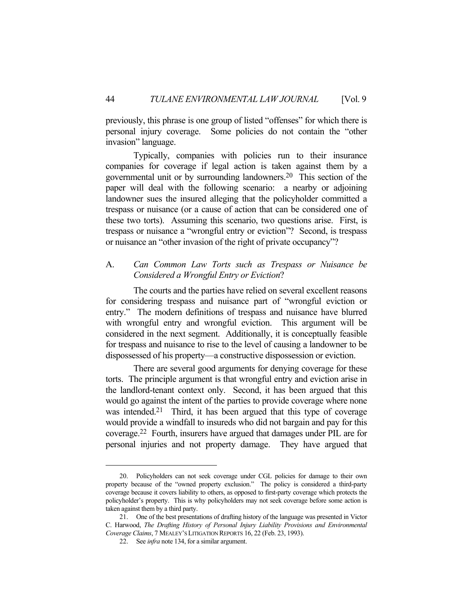previously, this phrase is one group of listed "offenses" for which there is personal injury coverage. Some policies do not contain the "other invasion" language.

 Typically, companies with policies run to their insurance companies for coverage if legal action is taken against them by a governmental unit or by surrounding landowners.20 This section of the paper will deal with the following scenario: a nearby or adjoining landowner sues the insured alleging that the policyholder committed a trespass or nuisance (or a cause of action that can be considered one of these two torts). Assuming this scenario, two questions arise. First, is trespass or nuisance a "wrongful entry or eviction"? Second, is trespass or nuisance an "other invasion of the right of private occupancy"?

## A. *Can Common Law Torts such as Trespass or Nuisance be Considered a Wrongful Entry or Eviction*?

 The courts and the parties have relied on several excellent reasons for considering trespass and nuisance part of "wrongful eviction or entry." The modern definitions of trespass and nuisance have blurred with wrongful entry and wrongful eviction. This argument will be considered in the next segment. Additionally, it is conceptually feasible for trespass and nuisance to rise to the level of causing a landowner to be dispossessed of his property—a constructive dispossession or eviction.

 There are several good arguments for denying coverage for these torts. The principle argument is that wrongful entry and eviction arise in the landlord-tenant context only. Second, it has been argued that this would go against the intent of the parties to provide coverage where none was intended.<sup>21</sup> Third, it has been argued that this type of coverage would provide a windfall to insureds who did not bargain and pay for this coverage.22 Fourth, insurers have argued that damages under PIL are for personal injuries and not property damage. They have argued that

 <sup>20.</sup> Policyholders can not seek coverage under CGL policies for damage to their own property because of the "owned property exclusion." The policy is considered a third-party coverage because it covers liability to others, as opposed to first-party coverage which protects the policyholder's property. This is why policyholders may not seek coverage before some action is taken against them by a third party.

 <sup>21.</sup> One of the best presentations of drafting history of the language was presented in Victor C. Harwood, *The Drafting History of Personal Injury Liability Provisions and Environmental Coverage Claims*, 7 MEALEY'S LITIGATION REPORTS 16, 22 (Feb. 23, 1993).

 <sup>22.</sup> See *infra* note 134, for a similar argument.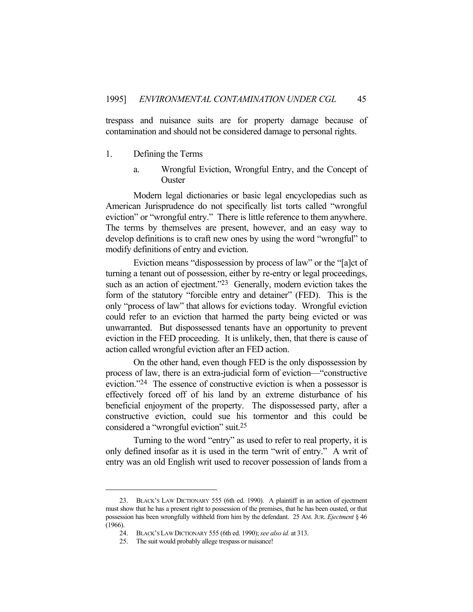trespass and nuisance suits are for property damage because of contamination and should not be considered damage to personal rights.

- 1. Defining the Terms
	- a. Wrongful Eviction, Wrongful Entry, and the Concept of **Ouster**

 Modern legal dictionaries or basic legal encyclopedias such as American Jurisprudence do not specifically list torts called "wrongful eviction" or "wrongful entry." There is little reference to them anywhere. The terms by themselves are present, however, and an easy way to develop definitions is to craft new ones by using the word "wrongful" to modify definitions of entry and eviction.

 Eviction means "dispossession by process of law" or the "[a]ct of turning a tenant out of possession, either by re-entry or legal proceedings, such as an action of ejectment."<sup>23</sup> Generally, modern eviction takes the form of the statutory "forcible entry and detainer" (FED). This is the only "process of law" that allows for evictions today. Wrongful eviction could refer to an eviction that harmed the party being evicted or was unwarranted. But dispossessed tenants have an opportunity to prevent eviction in the FED proceeding. It is unlikely, then, that there is cause of action called wrongful eviction after an FED action.

 On the other hand, even though FED is the only dispossession by process of law, there is an extra-judicial form of eviction—"constructive eviction."24 The essence of constructive eviction is when a possessor is effectively forced off of his land by an extreme disturbance of his beneficial enjoyment of the property. The dispossessed party, after a constructive eviction, could sue his tormentor and this could be considered a "wrongful eviction" suit.25

 Turning to the word "entry" as used to refer to real property, it is only defined insofar as it is used in the term "writ of entry." A writ of entry was an old English writ used to recover possession of lands from a

 <sup>23.</sup> BLACK'S LAW DICTIONARY 555 (6th ed. 1990). A plaintiff in an action of ejectment must show that he has a present right to possession of the premises, that he has been ousted, or that possession has been wrongfully withheld from him by the defendant. 25 AM. JUR. *Ejectment* § 46 (1966).

 <sup>24.</sup> BLACK'S LAW DICTIONARY 555 (6th ed. 1990); *see also id.* at 313.

 <sup>25.</sup> The suit would probably allege trespass or nuisance!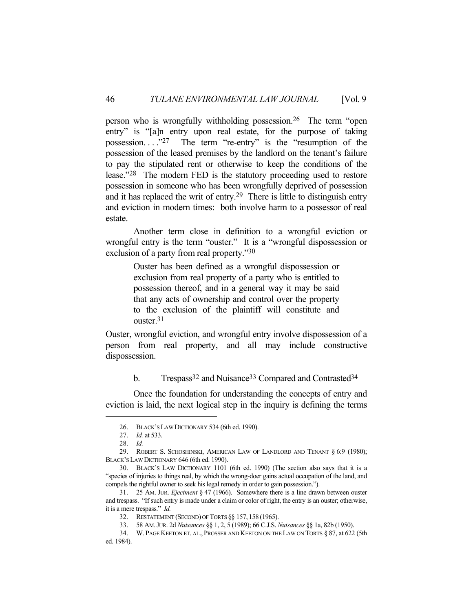person who is wrongfully withholding possession.26 The term "open entry" is "[a]n entry upon real estate, for the purpose of taking possession.... $27$  The term "re-entry" is the "resumption of the possession of the leased premises by the landlord on the tenant's failure to pay the stipulated rent or otherwise to keep the conditions of the lease."28 The modern FED is the statutory proceeding used to restore possession in someone who has been wrongfully deprived of possession and it has replaced the writ of entry.29 There is little to distinguish entry and eviction in modern times: both involve harm to a possessor of real estate.

 Another term close in definition to a wrongful eviction or wrongful entry is the term "ouster." It is a "wrongful dispossession or exclusion of a party from real property."30

> Ouster has been defined as a wrongful dispossession or exclusion from real property of a party who is entitled to possession thereof, and in a general way it may be said that any acts of ownership and control over the property to the exclusion of the plaintiff will constitute and ouster.31

Ouster, wrongful eviction, and wrongful entry involve dispossession of a person from real property, and all may include constructive dispossession.

## b. Trespass<sup>32</sup> and Nuisance<sup>33</sup> Compared and Contrasted<sup>34</sup>

 Once the foundation for understanding the concepts of entry and eviction is laid, the next logical step in the inquiry is defining the terms

 <sup>26.</sup> BLACK'S LAW DICTIONARY 534 (6th ed. 1990).

 <sup>27.</sup> *Id.* at 533.

 <sup>28.</sup> *Id.*

 <sup>29.</sup> ROBERT S. SCHOSHINSKI, AMERICAN LAW OF LANDLORD AND TENANT § 6:9 (1980); BLACK'S LAW DICTIONARY 646 (6th ed. 1990).

 <sup>30.</sup> BLACK'S LAW DICTIONARY 1101 (6th ed. 1990) (The section also says that it is a "species of injuries to things real, by which the wrong-doer gains actual occupation of the land, and compels the rightful owner to seek his legal remedy in order to gain possession.").

 <sup>31. 25</sup> AM. JUR. *Ejectment* § 47 (1966). Somewhere there is a line drawn between ouster and trespass. "If such entry is made under a claim or color of right, the entry is an ouster; otherwise, it is a mere trespass." *Id.*

 <sup>32.</sup> RESTATEMENT (SECOND) OF TORTS §§ 157, 158 (1965).

 <sup>33. 58</sup> AM.JUR. 2d *Nuisances* §§ 1, 2, 5 (1989); 66 C.J.S. *Nuisances* §§ 1a, 82b (1950).

 <sup>34.</sup> W. PAGE KEETON ET. AL., PROSSER AND KEETON ON THE LAW ON TORTS § 87, at 622 (5th ed. 1984).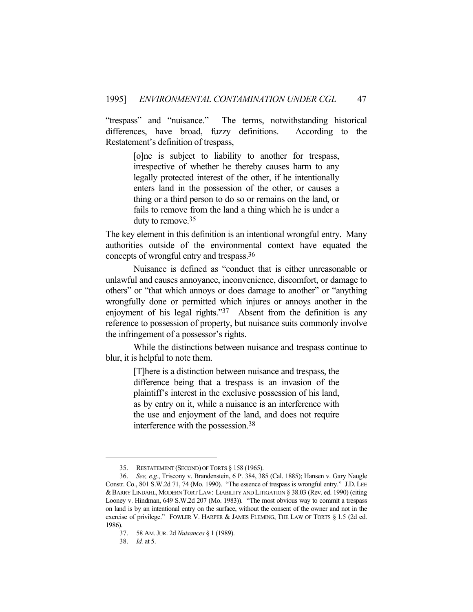"trespass" and "nuisance." The terms, notwithstanding historical differences, have broad, fuzzy definitions. According to the Restatement's definition of trespass,

> [o]ne is subject to liability to another for trespass, irrespective of whether he thereby causes harm to any legally protected interest of the other, if he intentionally enters land in the possession of the other, or causes a thing or a third person to do so or remains on the land, or fails to remove from the land a thing which he is under a duty to remove.35

The key element in this definition is an intentional wrongful entry. Many authorities outside of the environmental context have equated the concepts of wrongful entry and trespass.36

 Nuisance is defined as "conduct that is either unreasonable or unlawful and causes annoyance, inconvenience, discomfort, or damage to others" or "that which annoys or does damage to another" or "anything wrongfully done or permitted which injures or annoys another in the enjoyment of his legal rights."<sup>37</sup> Absent from the definition is any reference to possession of property, but nuisance suits commonly involve the infringement of a possessor's rights.

 While the distinctions between nuisance and trespass continue to blur, it is helpful to note them.

> [T]here is a distinction between nuisance and trespass, the difference being that a trespass is an invasion of the plaintiff's interest in the exclusive possession of his land, as by entry on it, while a nuisance is an interference with the use and enjoyment of the land, and does not require interference with the possession.38

 <sup>35.</sup> RESTATEMENT (SECOND) OF TORTS § 158 (1965).

 <sup>36.</sup> *See, e.g.*, Triscony v. Brandenstein, 6 P. 384, 385 (Cal. 1885); Hansen v. Gary Naugle Constr. Co., 801 S.W.2d 71, 74 (Mo. 1990). "The essence of trespass is wrongful entry." J.D. LEE &BARRY LINDAHL, MODERN TORT LAW: LIABILITY AND LITIGATION § 38.03 (Rev. ed. 1990) (citing Looney v. Hindman, 649 S.W.2d 207 (Mo. 1983)). "The most obvious way to commit a trespass on land is by an intentional entry on the surface, without the consent of the owner and not in the exercise of privilege." FOWLER V. HARPER & JAMES FLEMING, THE LAW OF TORTS § 1.5 (2d ed. 1986).

 <sup>37. 58</sup> AM.JUR. 2d *Nuisances* § 1 (1989).

 <sup>38.</sup> *Id.* at 5.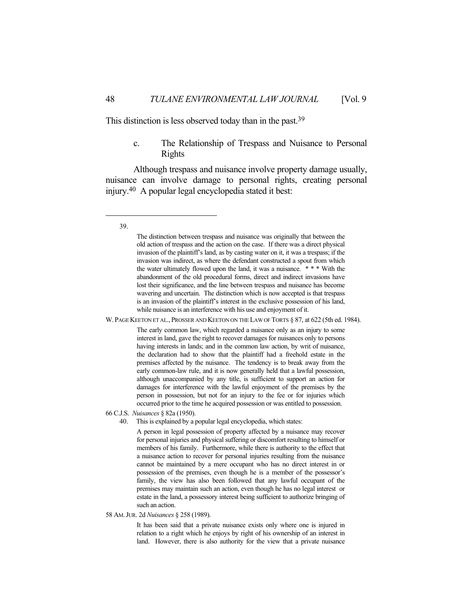This distinction is less observed today than in the past.<sup>39</sup>

## c. The Relationship of Trespass and Nuisance to Personal Rights

 Although trespass and nuisance involve property damage usually, nuisance can involve damage to personal rights, creating personal injury.40 A popular legal encyclopedia stated it best:

#### 39.

W. PAGE KEETON ET AL., PROSSER AND KEETON ON THE LAW OF TORTS § 87, at 622 (5th ed. 1984).

The early common law, which regarded a nuisance only as an injury to some interest in land, gave the right to recover damages for nuisances only to persons having interests in lands; and in the common law action, by writ of nuisance, the declaration had to show that the plaintiff had a freehold estate in the premises affected by the nuisance. The tendency is to break away from the early common-law rule, and it is now generally held that a lawful possession, although unaccompanied by any title, is sufficient to support an action for damages for interference with the lawful enjoyment of the premises by the person in possession, but not for an injury to the fee or for injuries which occurred prior to the time he acquired possession or was entitled to possession.

66 C.J.S. *Nuisances* § 82a (1950).

40. This is explained by a popular legal encyclopedia, which states:

A person in legal possession of property affected by a nuisance may recover for personal injuries and physical suffering or discomfort resulting to himself or members of his family. Furthermore, while there is authority to the effect that a nuisance action to recover for personal injuries resulting from the nuisance cannot be maintained by a mere occupant who has no direct interest in or possession of the premises, even though he is a member of the possessor's family, the view has also been followed that any lawful occupant of the premises may maintain such an action, even though he has no legal interest or estate in the land, a possessory interest being sufficient to authorize bringing of such an action.

58 AM.JUR. 2d *Nuisances* § 258 (1989).

It has been said that a private nuisance exists only where one is injured in relation to a right which he enjoys by right of his ownership of an interest in land. However, there is also authority for the view that a private nuisance

The distinction between trespass and nuisance was originally that between the old action of trespass and the action on the case. If there was a direct physical invasion of the plaintiff's land, as by casting water on it, it was a trespass; if the invasion was indirect, as where the defendant constructed a spout from which the water ultimately flowed upon the land, it was a nuisance. \* \* \* With the abandonment of the old procedural forms, direct and indirect invasions have lost their significance, and the line between trespass and nuisance has become wavering and uncertain. The distinction which is now accepted is that trespass is an invasion of the plaintiff's interest in the exclusive possession of his land, while nuisance is an interference with his use and enjoyment of it.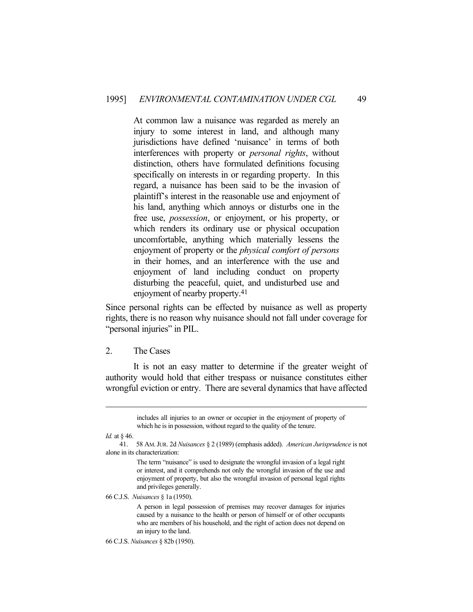At common law a nuisance was regarded as merely an injury to some interest in land, and although many jurisdictions have defined 'nuisance' in terms of both interferences with property or *personal rights*, without distinction, others have formulated definitions focusing specifically on interests in or regarding property. In this regard, a nuisance has been said to be the invasion of plaintiff's interest in the reasonable use and enjoyment of his land, anything which annoys or disturbs one in the free use, *possession*, or enjoyment, or his property, or which renders its ordinary use or physical occupation uncomfortable, anything which materially lessens the enjoyment of property or the *physical comfort of persons* in their homes, and an interference with the use and enjoyment of land including conduct on property disturbing the peaceful, quiet, and undisturbed use and enjoyment of nearby property.41

Since personal rights can be effected by nuisance as well as property rights, there is no reason why nuisance should not fall under coverage for "personal injuries" in PIL.

2. The Cases

 It is not an easy matter to determine if the greater weight of authority would hold that either trespass or nuisance constitutes either wrongful eviction or entry. There are several dynamics that have affected

*Id.* at § 46.

The term "nuisance" is used to designate the wrongful invasion of a legal right or interest, and it comprehends not only the wrongful invasion of the use and enjoyment of property, but also the wrongful invasion of personal legal rights and privileges generally.

66 C.J.S. *Nuisances* § 1a (1950).

A person in legal possession of premises may recover damages for injuries caused by a nuisance to the health or person of himself or of other occupants who are members of his household, and the right of action does not depend on an injury to the land.

includes all injuries to an owner or occupier in the enjoyment of property of which he is in possession, without regard to the quality of the tenure.

 <sup>41. 58</sup> AM.JUR. 2d *Nuisances* § 2 (1989) (emphasis added). *American Jurisprudence* is not alone in its characterization:

<sup>66</sup> C.J.S. *Nuisances* § 82b (1950).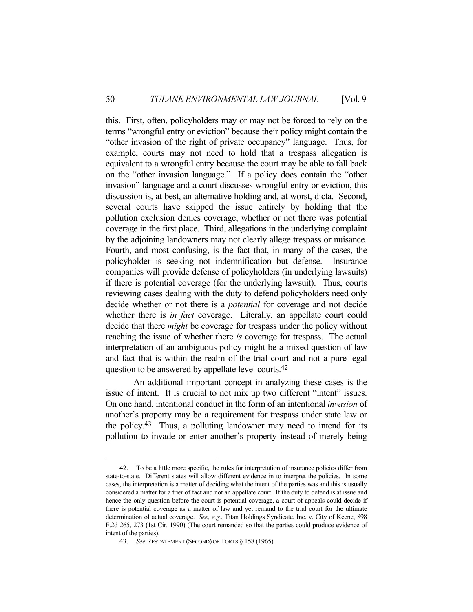this. First, often, policyholders may or may not be forced to rely on the terms "wrongful entry or eviction" because their policy might contain the "other invasion of the right of private occupancy" language. Thus, for example, courts may not need to hold that a trespass allegation is equivalent to a wrongful entry because the court may be able to fall back on the "other invasion language." If a policy does contain the "other invasion" language and a court discusses wrongful entry or eviction, this discussion is, at best, an alternative holding and, at worst, dicta. Second, several courts have skipped the issue entirely by holding that the pollution exclusion denies coverage, whether or not there was potential coverage in the first place. Third, allegations in the underlying complaint by the adjoining landowners may not clearly allege trespass or nuisance. Fourth, and most confusing, is the fact that, in many of the cases, the policyholder is seeking not indemnification but defense. Insurance companies will provide defense of policyholders (in underlying lawsuits) if there is potential coverage (for the underlying lawsuit). Thus, courts reviewing cases dealing with the duty to defend policyholders need only decide whether or not there is a *potential* for coverage and not decide whether there is *in fact* coverage. Literally, an appellate court could decide that there *might* be coverage for trespass under the policy without reaching the issue of whether there *is* coverage for trespass. The actual interpretation of an ambiguous policy might be a mixed question of law and fact that is within the realm of the trial court and not a pure legal question to be answered by appellate level courts.42

 An additional important concept in analyzing these cases is the issue of intent. It is crucial to not mix up two different "intent" issues. On one hand, intentional conduct in the form of an intentional *invasion* of another's property may be a requirement for trespass under state law or the policy.43 Thus, a polluting landowner may need to intend for its pollution to invade or enter another's property instead of merely being

 <sup>42.</sup> To be a little more specific, the rules for interpretation of insurance policies differ from state-to-state. Different states will allow different evidence in to interpret the policies. In some cases, the interpretation is a matter of deciding what the intent of the parties was and this is usually considered a matter for a trier of fact and not an appellate court. If the duty to defend is at issue and hence the only question before the court is potential coverage, a court of appeals could decide if there is potential coverage as a matter of law and yet remand to the trial court for the ultimate determination of actual coverage. *See, e.g.*, Titan Holdings Syndicate, Inc. v. City of Keene, 898 F.2d 265, 273 (1st Cir. 1990) (The court remanded so that the parties could produce evidence of intent of the parties).

 <sup>43.</sup> *See* RESTATEMENT (SECOND) OF TORTS § 158 (1965).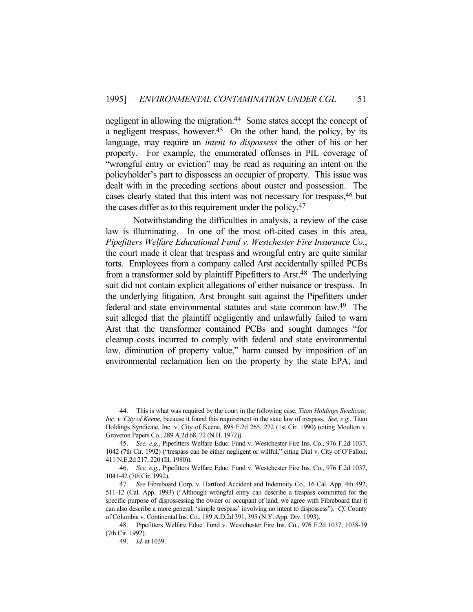negligent in allowing the migration.<sup>44</sup> Some states accept the concept of a negligent trespass, however.<sup>45</sup> On the other hand, the policy, by its language, may require an *intent to dispossess* the other of his or her property. For example, the enumerated offenses in PIL coverage of "wrongful entry or eviction" may be read as requiring an intent on the policyholder's part to dispossess an occupier of property. This issue was dealt with in the preceding sections about ouster and possession. The cases clearly stated that this intent was not necessary for trespass,46 but the cases differ as to this requirement under the policy.47

 Notwithstanding the difficulties in analysis, a review of the case law is illuminating. In one of the most oft-cited cases in this area, *Pipefitters Welfare Educational Fund v. Westchester Fire Insurance Co.*, the court made it clear that trespass and wrongful entry are quite similar torts. Employees from a company called Arst accidentally spilled PCBs from a transformer sold by plaintiff Pipefitters to Arst.48 The underlying suit did not contain explicit allegations of either nuisance or trespass. In the underlying litigation, Arst brought suit against the Pipefitters under federal and state environmental statutes and state common law.49 The suit alleged that the plaintiff negligently and unlawfully failed to warn Arst that the transformer contained PCBs and sought damages "for cleanup costs incurred to comply with federal and state environmental law, diminution of property value," harm caused by imposition of an environmental reclamation lien on the property by the state EPA, and

 <sup>44.</sup> This is what was required by the court in the following case, *Titan Holdings Syndicate, Inc. v. City of Keene*, because it found this requirement in the state law of trespass. *See, e.g.*, Titan Holdings Syndicate, Inc. v. City of Keene, 898 F.2d 265, 272 (1st Cir. 1990) (citing Moulton v. Groveton Papers Co., 289 A.2d 68, 72 (N.H. 1972)).

 <sup>45.</sup> *See, e.g.*, Pipefitters Welfare Educ. Fund v. Westchester Fire Ins. Co., 976 F.2d 1037, 1042 (7th Cir. 1992) ("trespass can be either negligent or willful," citing Dial v. City of O'Fallon, 411 N.E.2d 217, 220 (Ill. 1980)).

 <sup>46.</sup> *See, e.g.*, Pipefitters Welfare Educ. Fund v. Westchester Fire Ins. Co., 976 F.2d 1037, 1041-42 (7th Cir. 1992).

 <sup>47.</sup> *See* Fibreboard Corp. v. Hartford Accident and Indemnity Co., 16 Cal. App. 4th 492, 511-12 (Cal. App. 1993) ("Although wrongful entry can describe a trespass committed for the specific purpose of dispossessing the owner or occupant of land, we agree with Fibreboard that it can also describe a more general, 'simple trespass' involving no intent to dispossess"). *Cf.* County of Columbia v. Continental Ins. Co., 189 A.D.2d 391, 395 (N.Y. App. Div. 1993).

 <sup>48.</sup> Pipefitters Welfare Educ. Fund v. Westchester Fire Ins. Co., 976 F.2d 1037, 1038-39 (7th Cir. 1992).

 <sup>49.</sup> *Id.* at 1039.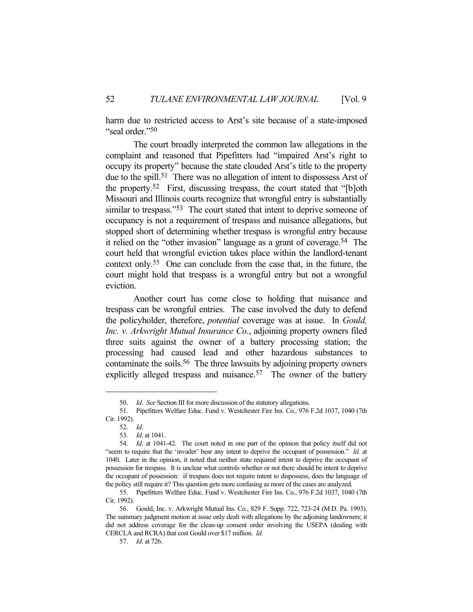harm due to restricted access to Arst's site because of a state-imposed "seal order."50

 The court broadly interpreted the common law allegations in the complaint and reasoned that Pipefitters had "impaired Arst's right to occupy its property" because the state clouded Arst's title to the property due to the spill.<sup>51</sup> There was no allegation of intent to dispossess Arst of the property.52 First, discussing trespass, the court stated that "[b]oth Missouri and Illinois courts recognize that wrongful entry is substantially similar to trespass."<sup>53</sup> The court stated that intent to deprive someone of occupancy is not a requirement of trespass and nuisance allegations, but stopped short of determining whether trespass is wrongful entry because it relied on the "other invasion" language as a grant of coverage.54 The court held that wrongful eviction takes place within the landlord-tenant context only.55 One can conclude from the case that, in the future, the court might hold that trespass is a wrongful entry but not a wrongful eviction.

 Another court has come close to holding that nuisance and trespass can be wrongful entries. The case involved the duty to defend the policyholder, therefore, *potential* coverage was at issue. In *Gould, Inc. v. Arkwright Mutual Insurance Co.*, adjoining property owners filed three suits against the owner of a battery processing station; the processing had caused lead and other hazardous substances to contaminate the soils.56 The three lawsuits by adjoining property owners explicitly alleged trespass and nuisance.<sup>57</sup> The owner of the battery

 <sup>50.</sup> *Id*. *See* Section III for more discussion of the statutory allegations.

 <sup>51.</sup> Pipefitters Welfare Educ. Fund v. Westchester Fire Ins. Co., 976 F.2d 1037, 1040 (7th Cir. 1992).

 <sup>52.</sup> *Id*.

 <sup>53.</sup> *Id*. at 1041.

 <sup>54.</sup> *Id*. at 1041-42. The court noted in one part of the opinion that policy itself did not "seem to require that the 'invader' bear any intent to deprive the occupant of possession." *Id.* at 1040. Later in the opinion, it noted that neither state required intent to deprive the occupant of possession for trespass. It is unclear what controls whether or not there should be intent to deprive the occupant of possession: if trespass does not require intent to dispossess, does the language of the policy still require it? This question gets more confusing as more of the cases are analyzed.

 <sup>55.</sup> Pipefitters Welfare Educ. Fund v. Westchester Fire Ins. Co., 976 F.2d 1037, 1040 (7th Cir. 1992).

 <sup>56.</sup> Gould, Inc. v. Arkwright Mutual Ins. Co., 829 F. Supp. 722, 723-24 (M.D. Pa. 1993). The summary judgment motion at issue only dealt with allegations by the adjoining landowners; it did not address coverage for the clean-up consent order involving the USEPA (dealing with CERCLA and RCRA) that cost Gould over \$17 million. *Id.*

 <sup>57.</sup> *Id*. at 726.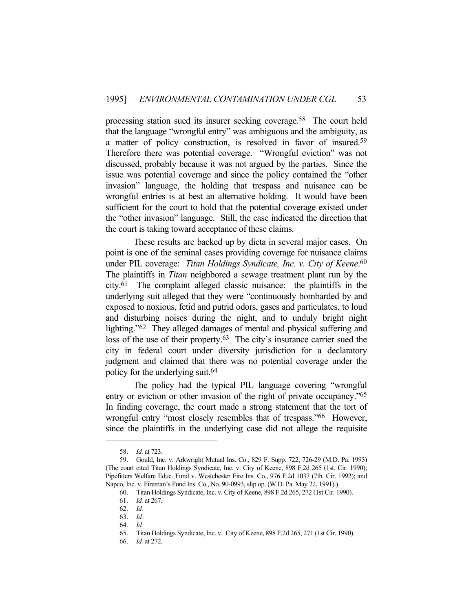processing station sued its insurer seeking coverage.58 The court held that the language "wrongful entry" was ambiguous and the ambiguity, as a matter of policy construction, is resolved in favor of insured.59 Therefore there was potential coverage. "Wrongful eviction" was not discussed, probably because it was not argued by the parties. Since the issue was potential coverage and since the policy contained the "other invasion" language, the holding that trespass and nuisance can be wrongful entries is at best an alternative holding. It would have been sufficient for the court to hold that the potential coverage existed under the "other invasion" language. Still, the case indicated the direction that the court is taking toward acceptance of these claims.

 These results are backed up by dicta in several major cases. On point is one of the seminal cases providing coverage for nuisance claims under PIL coverage: *Titan Holdings Syndicate, Inc. v. City of Keene*. 60 The plaintiffs in *Titan* neighbored a sewage treatment plant run by the city.61 The complaint alleged classic nuisance: the plaintiffs in the underlying suit alleged that they were "continuously bombarded by and exposed to noxious, fetid and putrid odors, gases and particulates, to loud and disturbing noises during the night, and to unduly bright night lighting."62 They alleged damages of mental and physical suffering and loss of the use of their property.<sup>63</sup> The city's insurance carrier sued the city in federal court under diversity jurisdiction for a declaratory judgment and claimed that there was no potential coverage under the policy for the underlying suit.64

 The policy had the typical PIL language covering "wrongful entry or eviction or other invasion of the right of private occupancy."65 In finding coverage, the court made a strong statement that the tort of wrongful entry "most closely resembles that of trespass."66 However, since the plaintiffs in the underlying case did not allege the requisite

 <sup>58.</sup> *Id.* at 723.

 <sup>59.</sup> Gould, Inc. v. Arkwright Mutual Ins. Co., 829 F. Supp. 722, 726-29 (M.D. Pa. 1993) (The court cited Titan Holdings Syndicate, Inc. v. City of Keene, 898 F.2d 265 (1st. Cir. 1990); Pipefitters Welfare Educ. Fund v. Westchester Fire Ins. Co., 976 F.2d 1037 (7th. Cir. 1992); and Napco, Inc. v. Fireman's Fund Ins. Co., No. 90-0993, slip op. (W.D. Pa. May 22, 1991).).

 <sup>60.</sup> Titan Holdings Syndicate, Inc. v. City of Keene, 898 F.2d 265, 272 (1st Cir. 1990).

 <sup>61.</sup> *Id.* at 267.

 <sup>62.</sup> *Id.*

 <sup>63.</sup> *Id.* 

 <sup>64.</sup> *Id.*

 <sup>65.</sup> Titan Holdings Syndicate, Inc. v. City of Keene, 898 F.2d 265, 271 (1st Cir. 1990).

 <sup>66.</sup> *Id.* at 272.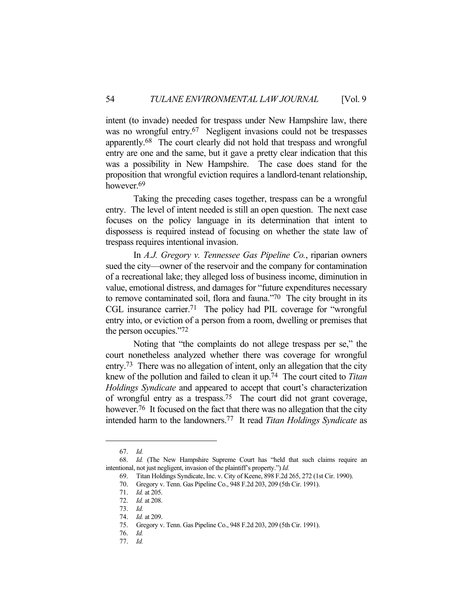intent (to invade) needed for trespass under New Hampshire law, there was no wrongful entry.<sup>67</sup> Negligent invasions could not be trespasses apparently.68 The court clearly did not hold that trespass and wrongful entry are one and the same, but it gave a pretty clear indication that this was a possibility in New Hampshire. The case does stand for the proposition that wrongful eviction requires a landlord-tenant relationship, however.<sup>69</sup>

 Taking the preceding cases together, trespass can be a wrongful entry. The level of intent needed is still an open question. The next case focuses on the policy language in its determination that intent to dispossess is required instead of focusing on whether the state law of trespass requires intentional invasion.

 In *A.J. Gregory v. Tennessee Gas Pipeline Co.*, riparian owners sued the city—owner of the reservoir and the company for contamination of a recreational lake; they alleged loss of business income, diminution in value, emotional distress, and damages for "future expenditures necessary to remove contaminated soil, flora and fauna."70 The city brought in its CGL insurance carrier.71 The policy had PIL coverage for "wrongful entry into, or eviction of a person from a room, dwelling or premises that the person occupies."72

 Noting that "the complaints do not allege trespass per se," the court nonetheless analyzed whether there was coverage for wrongful entry.<sup>73</sup> There was no allegation of intent, only an allegation that the city knew of the pollution and failed to clean it up.74 The court cited to *Titan Holdings Syndicate* and appeared to accept that court's characterization of wrongful entry as a trespass.75 The court did not grant coverage, however.<sup>76</sup> It focused on the fact that there was no allegation that the city intended harm to the landowners.77 It read *Titan Holdings Syndicate* as

 <sup>67.</sup> *Id.*

 <sup>68.</sup> *Id.* (The New Hampshire Supreme Court has "held that such claims require an intentional, not just negligent, invasion of the plaintiff's property.") *Id.*

 <sup>69.</sup> Titan Holdings Syndicate, Inc. v. City of Keene, 898 F.2d 265, 272 (1st Cir. 1990).

 <sup>70.</sup> Gregory v. Tenn. Gas Pipeline Co., 948 F.2d 203, 209 (5th Cir. 1991).

 <sup>71.</sup> *Id.* at 205.

 <sup>72.</sup> *Id.* at 208.

 <sup>73.</sup> *Id.*

 <sup>74.</sup> *Id.* at 209.

 <sup>75.</sup> Gregory v. Tenn. Gas Pipeline Co., 948 F.2d 203, 209 (5th Cir. 1991).

 <sup>76.</sup> *Id.*

 <sup>77.</sup> *Id.*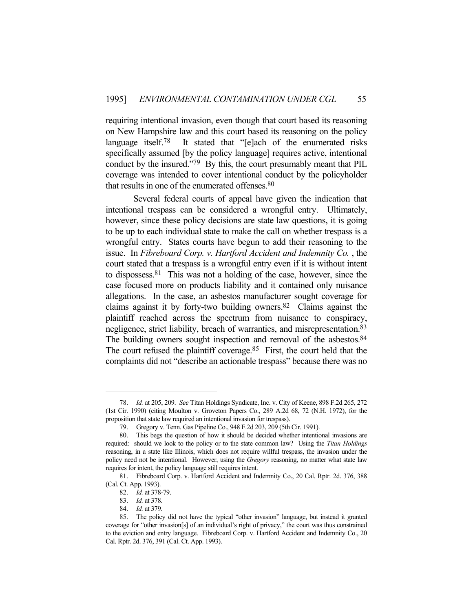requiring intentional invasion, even though that court based its reasoning on New Hampshire law and this court based its reasoning on the policy language itself.<sup>78</sup> It stated that "[e]ach of the enumerated risks specifically assumed [by the policy language] requires active, intentional conduct by the insured."79 By this, the court presumably meant that PIL coverage was intended to cover intentional conduct by the policyholder that results in one of the enumerated offenses.80

 Several federal courts of appeal have given the indication that intentional trespass can be considered a wrongful entry. Ultimately, however, since these policy decisions are state law questions, it is going to be up to each individual state to make the call on whether trespass is a wrongful entry. States courts have begun to add their reasoning to the issue. In *Fibreboard Corp. v. Hartford Accident and Indemnity Co.* , the court stated that a trespass is a wrongful entry even if it is without intent to dispossess.81 This was not a holding of the case, however, since the case focused more on products liability and it contained only nuisance allegations. In the case, an asbestos manufacturer sought coverage for claims against it by forty-two building owners.82 Claims against the plaintiff reached across the spectrum from nuisance to conspiracy, negligence, strict liability, breach of warranties, and misrepresentation.83 The building owners sought inspection and removal of the asbestos.<sup>84</sup> The court refused the plaintiff coverage.<sup>85</sup> First, the court held that the complaints did not "describe an actionable trespass" because there was no

 <sup>78.</sup> *Id.* at 205, 209. *See* Titan Holdings Syndicate, Inc. v. City of Keene, 898 F.2d 265, 272 (1st Cir. 1990) (citing Moulton v. Groveton Papers Co., 289 A.2d 68, 72 (N.H. 1972), for the proposition that state law required an intentional invasion for trespass).

 <sup>79.</sup> Gregory v. Tenn. Gas Pipeline Co., 948 F.2d 203, 209 (5th Cir. 1991).

 <sup>80.</sup> This begs the question of how it should be decided whether intentional invasions are required: should we look to the policy or to the state common law? Using the *Titan Holdings* reasoning, in a state like Illinois, which does not require willful trespass, the invasion under the policy need not be intentional. However, using the *Gregory* reasoning, no matter what state law requires for intent, the policy language still requires intent.

 <sup>81.</sup> Fibreboard Corp. v. Hartford Accident and Indemnity Co., 20 Cal. Rptr. 2d. 376, 388 (Cal. Ct. App. 1993).

 <sup>82.</sup> *Id.* at 378-79.

 <sup>83.</sup> *Id.* at 378.

 <sup>84.</sup> *Id.* at 379.

 <sup>85.</sup> The policy did not have the typical "other invasion" language, but instead it granted coverage for "other invasion[s] of an individual's right of privacy," the court was thus constrained to the eviction and entry language. Fibreboard Corp. v. Hartford Accident and Indemnity Co., 20 Cal. Rptr. 2d. 376, 391 (Cal. Ct. App. 1993).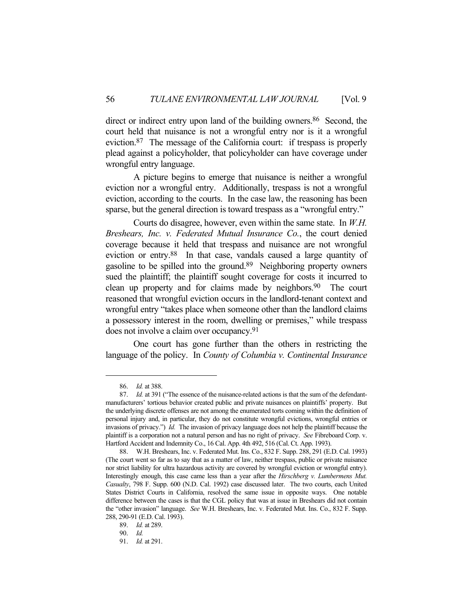direct or indirect entry upon land of the building owners.<sup>86</sup> Second, the court held that nuisance is not a wrongful entry nor is it a wrongful eviction.87 The message of the California court: if trespass is properly plead against a policyholder, that policyholder can have coverage under wrongful entry language.

 A picture begins to emerge that nuisance is neither a wrongful eviction nor a wrongful entry. Additionally, trespass is not a wrongful eviction, according to the courts. In the case law, the reasoning has been sparse, but the general direction is toward trespass as a "wrongful entry."

 Courts do disagree, however, even within the same state. In *W.H. Breshears, Inc. v. Federated Mutual Insurance Co.*, the court denied coverage because it held that trespass and nuisance are not wrongful eviction or entry.88 In that case, vandals caused a large quantity of gasoline to be spilled into the ground.89 Neighboring property owners sued the plaintiff; the plaintiff sought coverage for costs it incurred to clean up property and for claims made by neighbors.<sup>90</sup> The court reasoned that wrongful eviction occurs in the landlord-tenant context and wrongful entry "takes place when someone other than the landlord claims a possessory interest in the room, dwelling or premises," while trespass does not involve a claim over occupancy.91

 One court has gone further than the others in restricting the language of the policy. In *County of Columbia v. Continental Insurance* 

 <sup>86.</sup> *Id.* at 388.

 <sup>87.</sup> *Id.* at 391 ("The essence of the nuisance-related actions is that the sum of the defendantmanufacturers' tortious behavior created public and private nuisances on plaintiffs' property. But the underlying discrete offenses are not among the enumerated torts coming within the definition of personal injury and, in particular, they do not constitute wrongful evictions, wrongful entries or invasions of privacy.") *Id.* The invasion of privacy language does not help the plaintiff because the plaintiff is a corporation not a natural person and has no right of privacy. *See* Fibreboard Corp. v. Hartford Accident and Indemnity Co., 16 Cal. App. 4th 492, 516 (Cal. Ct. App. 1993).

 <sup>88.</sup> W.H. Breshears, Inc. v. Federated Mut. Ins. Co., 832 F. Supp. 288, 291 (E.D. Cal. 1993) (The court went so far as to say that as a matter of law, neither trespass, public or private nuisance nor strict liability for ultra hazardous activity are covered by wrongful eviction or wrongful entry). Interestingly enough, this case came less than a year after the *Hirschberg v. Lumbermens Mut. Casualty*, 798 F. Supp. 600 (N.D. Cal. 1992) case discussed later. The two courts, each United States District Courts in California, resolved the same issue in opposite ways. One notable difference between the cases is that the CGL policy that was at issue in Breshears did not contain the "other invasion" language. *See* W.H. Breshears, Inc. v. Federated Mut. Ins. Co., 832 F. Supp. 288, 290-91 (E.D. Cal. 1993).

 <sup>89.</sup> *Id.* at 289.

 <sup>90.</sup> *Id.*

 <sup>91.</sup> *Id.* at 291.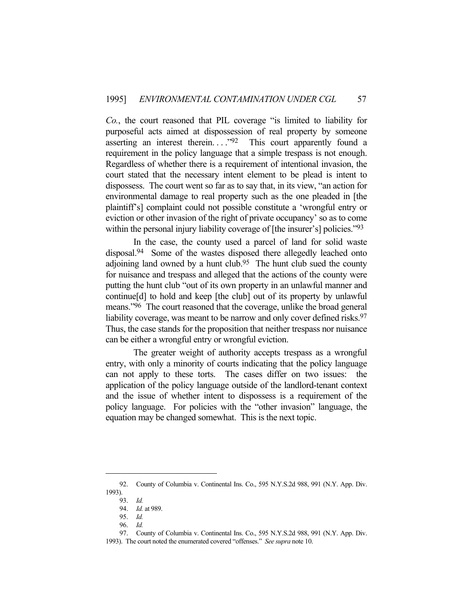*Co.*, the court reasoned that PIL coverage "is limited to liability for purposeful acts aimed at dispossession of real property by someone asserting an interest therein.  $\cdot$  .  $\cdot$   $\cdot$   $\cdot$   $\cdot$  This court apparently found a requirement in the policy language that a simple trespass is not enough. Regardless of whether there is a requirement of intentional invasion, the court stated that the necessary intent element to be plead is intent to dispossess. The court went so far as to say that, in its view, "an action for environmental damage to real property such as the one pleaded in [the plaintiff's] complaint could not possible constitute a 'wrongful entry or eviction or other invasion of the right of private occupancy' so as to come within the personal injury liability coverage of [the insurer's] policies."<sup>93</sup>

 In the case, the county used a parcel of land for solid waste disposal.<sup>94</sup> Some of the wastes disposed there allegedly leached onto adjoining land owned by a hunt club.<sup>95</sup> The hunt club sued the county for nuisance and trespass and alleged that the actions of the county were putting the hunt club "out of its own property in an unlawful manner and continue[d] to hold and keep [the club] out of its property by unlawful means."96 The court reasoned that the coverage, unlike the broad general liability coverage, was meant to be narrow and only cover defined risks.<sup>97</sup> Thus, the case stands for the proposition that neither trespass nor nuisance can be either a wrongful entry or wrongful eviction.

 The greater weight of authority accepts trespass as a wrongful entry, with only a minority of courts indicating that the policy language can not apply to these torts. The cases differ on two issues: the application of the policy language outside of the landlord-tenant context and the issue of whether intent to dispossess is a requirement of the policy language. For policies with the "other invasion" language, the equation may be changed somewhat. This is the next topic.

 <sup>92.</sup> County of Columbia v. Continental Ins. Co., 595 N.Y.S.2d 988, 991 (N.Y. App. Div. 1993).

 <sup>93.</sup> *Id.*

 <sup>94.</sup> *Id.* at 989.

 <sup>95.</sup> *Id.*

 <sup>96.</sup> *Id.*

 <sup>97.</sup> County of Columbia v. Continental Ins. Co., 595 N.Y.S.2d 988, 991 (N.Y. App. Div.

<sup>1993).</sup> The court noted the enumerated covered "offenses." *See supra* note 10.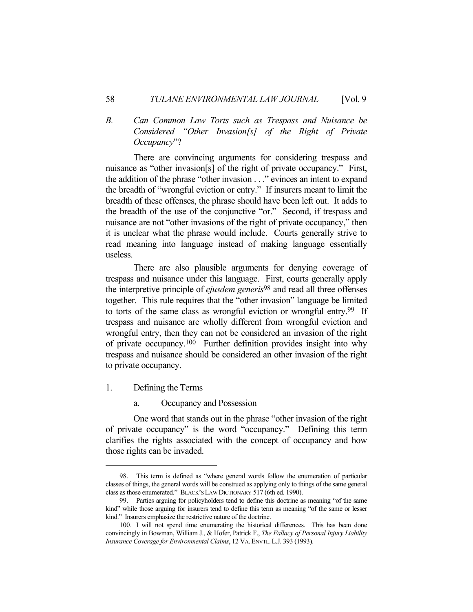## *B. Can Common Law Torts such as Trespass and Nuisance be Considered "Other Invasion[s] of the Right of Private Occupancy*"?

 There are convincing arguments for considering trespass and nuisance as "other invasion[s] of the right of private occupancy." First, the addition of the phrase "other invasion . . ." evinces an intent to expand the breadth of "wrongful eviction or entry." If insurers meant to limit the breadth of these offenses, the phrase should have been left out. It adds to the breadth of the use of the conjunctive "or." Second, if trespass and nuisance are not "other invasions of the right of private occupancy," then it is unclear what the phrase would include. Courts generally strive to read meaning into language instead of making language essentially useless.

 There are also plausible arguments for denying coverage of trespass and nuisance under this language. First, courts generally apply the interpretive principle of *ejusdem generis*98 and read all three offenses together. This rule requires that the "other invasion" language be limited to torts of the same class as wrongful eviction or wrongful entry.99 If trespass and nuisance are wholly different from wrongful eviction and wrongful entry, then they can not be considered an invasion of the right of private occupancy.100 Further definition provides insight into why trespass and nuisance should be considered an other invasion of the right to private occupancy.

- 1. Defining the Terms
	- a. Occupancy and Possession

 One word that stands out in the phrase "other invasion of the right of private occupancy" is the word "occupancy." Defining this term clarifies the rights associated with the concept of occupancy and how those rights can be invaded.

 <sup>98.</sup> This term is defined as "where general words follow the enumeration of particular classes of things, the general words will be construed as applying only to things of the same general class as those enumerated." BLACK'S LAW DICTIONARY 517 (6th ed. 1990).

 <sup>99.</sup> Parties arguing for policyholders tend to define this doctrine as meaning "of the same kind" while those arguing for insurers tend to define this term as meaning "of the same or lesser kind." Insurers emphasize the restrictive nature of the doctrine.

 <sup>100.</sup> I will not spend time enumerating the historical differences. This has been done convincingly in Bowman, William J., & Hofer, Patrick F., *The Fallacy of Personal Injury Liability Insurance Coverage for Environmental Claims*, 12 VA.ENVTL.L.J. 393 (1993).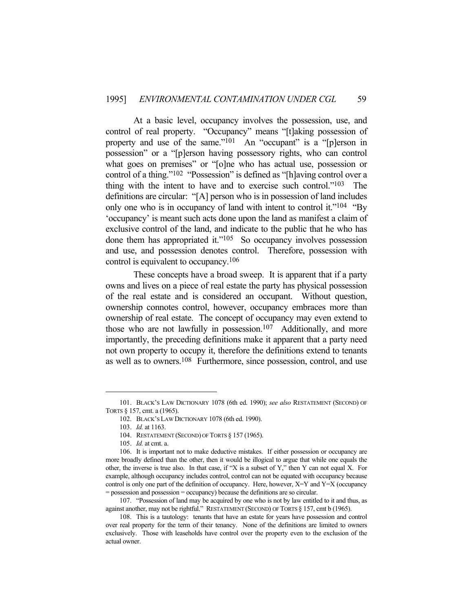At a basic level, occupancy involves the possession, use, and control of real property. "Occupancy" means "[t]aking possession of property and use of the same."<sup>101</sup> An "occupant" is a "[p]erson in possession" or a "[p]erson having possessory rights, who can control what goes on premises" or "[o]ne who has actual use, possession or control of a thing."102 "Possession" is defined as "[h]aving control over a thing with the intent to have and to exercise such control."103 The definitions are circular: "[A] person who is in possession of land includes only one who is in occupancy of land with intent to control it."<sup>104</sup> "By 'occupancy' is meant such acts done upon the land as manifest a claim of exclusive control of the land, and indicate to the public that he who has done them has appropriated it."<sup>105</sup> So occupancy involves possession and use, and possession denotes control. Therefore, possession with control is equivalent to occupancy.106

 These concepts have a broad sweep. It is apparent that if a party owns and lives on a piece of real estate the party has physical possession of the real estate and is considered an occupant. Without question, ownership connotes control, however, occupancy embraces more than ownership of real estate. The concept of occupancy may even extend to those who are not lawfully in possession.107 Additionally, and more importantly, the preceding definitions make it apparent that a party need not own property to occupy it, therefore the definitions extend to tenants as well as to owners.108 Furthermore, since possession, control, and use

 <sup>101.</sup> BLACK'S LAW DICTIONARY 1078 (6th ed. 1990); *see also* RESTATEMENT (SECOND) OF TORTS § 157, cmt. a (1965).

 <sup>102.</sup> BLACK'S LAW DICTIONARY 1078 (6th ed. 1990).

 <sup>103.</sup> *Id.* at 1163.

 <sup>104.</sup> RESTATEMENT (SECOND) OF TORTS § 157 (1965).

 <sup>105.</sup> *Id.* at cmt. a.

 <sup>106.</sup> It is important not to make deductive mistakes. If either possession or occupancy are more broadly defined than the other, then it would be illogical to argue that while one equals the other, the inverse is true also. In that case, if "X is a subset of Y," then Y can not equal X. For example, although occupancy includes control, control can not be equated with occupancy because control is only one part of the definition of occupancy. Here, however,  $X=Y$  and  $Y=X$  (occupancy = possession and possession = occupancy) because the definitions are so circular.

 <sup>107. &</sup>quot;Possession of land may be acquired by one who is not by law entitled to it and thus, as against another, may not be rightful." RESTATEMENT (SECOND) OF TORTS § 157, cmt b (1965).

 <sup>108.</sup> This is a tautology: tenants that have an estate for years have possession and control over real property for the term of their tenancy. None of the definitions are limited to owners exclusively. Those with leaseholds have control over the property even to the exclusion of the actual owner.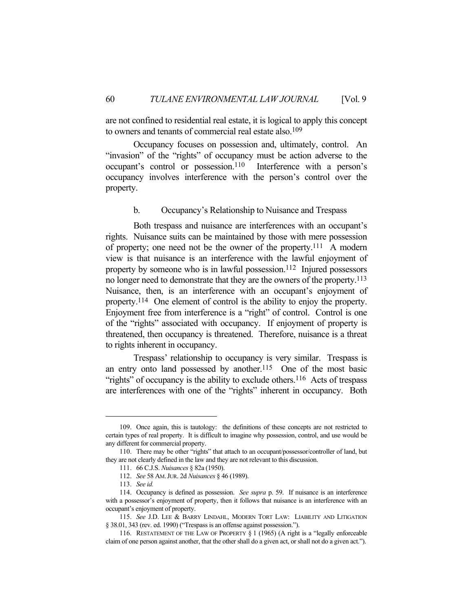are not confined to residential real estate, it is logical to apply this concept to owners and tenants of commercial real estate also.109

 Occupancy focuses on possession and, ultimately, control. An "invasion" of the "rights" of occupancy must be action adverse to the occupant's control or possession.110 Interference with a person's occupancy involves interference with the person's control over the property.

b. Occupancy's Relationship to Nuisance and Trespass

 Both trespass and nuisance are interferences with an occupant's rights. Nuisance suits can be maintained by those with mere possession of property; one need not be the owner of the property.111 A modern view is that nuisance is an interference with the lawful enjoyment of property by someone who is in lawful possession.112 Injured possessors no longer need to demonstrate that they are the owners of the property.113 Nuisance, then, is an interference with an occupant's enjoyment of property.114 One element of control is the ability to enjoy the property. Enjoyment free from interference is a "right" of control. Control is one of the "rights" associated with occupancy. If enjoyment of property is threatened, then occupancy is threatened. Therefore, nuisance is a threat to rights inherent in occupancy.

 Trespass' relationship to occupancy is very similar. Trespass is an entry onto land possessed by another.115 One of the most basic "rights" of occupancy is the ability to exclude others.<sup>116</sup> Acts of trespass are interferences with one of the "rights" inherent in occupancy. Both

 <sup>109.</sup> Once again, this is tautology: the definitions of these concepts are not restricted to certain types of real property. It is difficult to imagine why possession, control, and use would be any different for commercial property.

 <sup>110.</sup> There may be other "rights" that attach to an occupant/possessor/controller of land, but they are not clearly defined in the law and they are not relevant to this discussion.

 <sup>111. 66</sup> C.J.S. *Nuisances* § 82a (1950).

 <sup>112.</sup> *See* 58 AM.JUR. 2d *Nuisances* § 46 (1989).

 <sup>113.</sup> *See id.*

 <sup>114.</sup> Occupancy is defined as possession. *See supra* p. 59. If nuisance is an interference with a possessor's enjoyment of property, then it follows that nuisance is an interference with an occupant's enjoyment of property.

 <sup>115.</sup> *See* J.D. LEE & BARRY LINDAHL, MODERN TORT LAW: LIABILITY AND LITIGATION § 38.01, 343 (rev. ed. 1990) ("Trespass is an offense against possession.").

 <sup>116.</sup> RESTATEMENT OF THE LAW OF PROPERTY § 1 (1965) (A right is a "legally enforceable claim of one person against another, that the other shall do a given act, or shall not do a given act.").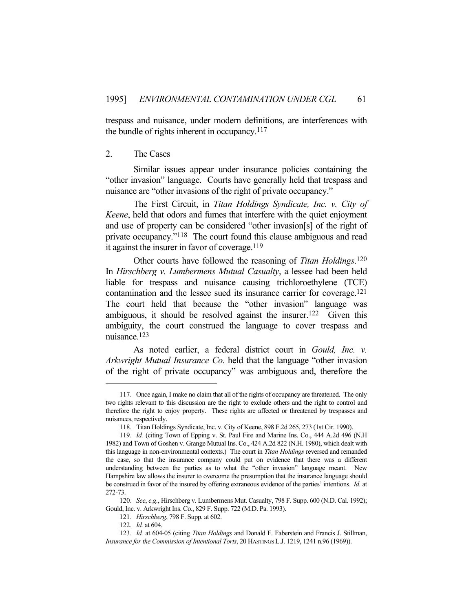trespass and nuisance, under modern definitions, are interferences with the bundle of rights inherent in occupancy.117

### 2. The Cases

 Similar issues appear under insurance policies containing the "other invasion" language. Courts have generally held that trespass and nuisance are "other invasions of the right of private occupancy."

 The First Circuit, in *Titan Holdings Syndicate, Inc. v. City of Keene*, held that odors and fumes that interfere with the quiet enjoyment and use of property can be considered "other invasion[s] of the right of private occupancy."118 The court found this clause ambiguous and read it against the insurer in favor of coverage.<sup>119</sup>

 Other courts have followed the reasoning of *Titan Holdings*. 120 In *Hirschberg v. Lumbermens Mutual Casualty*, a lessee had been held liable for trespass and nuisance causing trichloroethylene (TCE) contamination and the lessee sued its insurance carrier for coverage.121 The court held that because the "other invasion" language was ambiguous, it should be resolved against the insurer.<sup>122</sup> Given this ambiguity, the court construed the language to cover trespass and nuisance.123

 As noted earlier, a federal district court in *Gould, Inc. v. Arkwright Mutual Insurance Co*. held that the language "other invasion of the right of private occupancy" was ambiguous and, therefore the

 <sup>117.</sup> Once again, I make no claim that all of the rights of occupancy are threatened. The only two rights relevant to this discussion are the right to exclude others and the right to control and therefore the right to enjoy property. These rights are affected or threatened by trespasses and nuisances, respectively.

 <sup>118.</sup> Titan Holdings Syndicate, Inc. v. City of Keene, 898 F.2d 265, 273 (1st Cir. 1990).

 <sup>119.</sup> *Id.* (citing Town of Epping v. St. Paul Fire and Marine Ins. Co., 444 A.2d 496 (N.H 1982) and Town of Goshen v. Grange Mutual Ins. Co., 424 A.2d 822 (N.H. 1980), which dealt with this language in non-environmental contexts.) The court in *Titan Holdings* reversed and remanded the case, so that the insurance company could put on evidence that there was a different understanding between the parties as to what the "other invasion" language meant. New Hampshire law allows the insurer to overcome the presumption that the insurance language should be construed in favor of the insured by offering extraneous evidence of the parties' intentions. *Id.* at 272-73.

 <sup>120.</sup> *See*, *e.g.*, Hirschberg v. Lumbermens Mut. Casualty, 798 F. Supp. 600 (N.D. Cal. 1992); Gould, Inc. v. Arkwright Ins. Co., 829 F. Supp. 722 (M.D. Pa. 1993).

 <sup>121.</sup> *Hirschberg*, 798 F. Supp. at 602.

 <sup>122.</sup> *Id.* at 604.

 <sup>123.</sup> *Id.* at 604-05 (citing *Titan Holdings* and Donald F. Faberstein and Francis J. Stillman, *Insurance for the Commission of Intentional Torts*, 20 HASTINGS L.J. 1219, 1241 n.96 (1969)).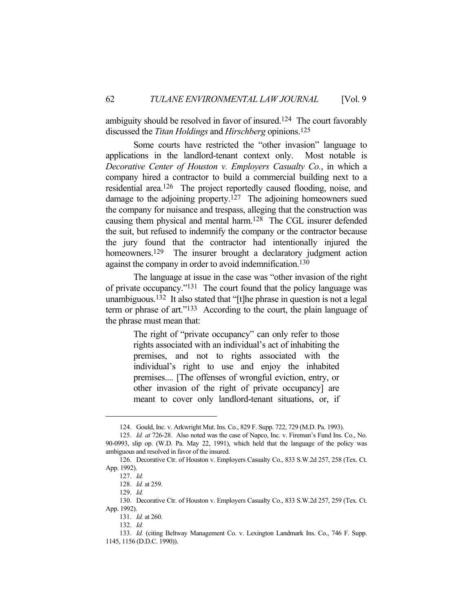ambiguity should be resolved in favor of insured.<sup>124</sup> The court favorably discussed the *Titan Holdings* and *Hirschberg* opinions.125

 Some courts have restricted the "other invasion" language to applications in the landlord-tenant context only. Most notable is *Decorative Center of Houston v. Employers Casualty Co.*, in which a company hired a contractor to build a commercial building next to a residential area.126 The project reportedly caused flooding, noise, and damage to the adjoining property.<sup>127</sup> The adjoining homeowners sued the company for nuisance and trespass, alleging that the construction was causing them physical and mental harm.128 The CGL insurer defended the suit, but refused to indemnify the company or the contractor because the jury found that the contractor had intentionally injured the homeowners.<sup>129</sup> The insurer brought a declaratory judgment action against the company in order to avoid indemnification.<sup>130</sup>

 The language at issue in the case was "other invasion of the right of private occupancy."131 The court found that the policy language was unambiguous.132 It also stated that "[t]he phrase in question is not a legal term or phrase of art."133 According to the court, the plain language of the phrase must mean that:

> The right of "private occupancy" can only refer to those rights associated with an individual's act of inhabiting the premises, and not to rights associated with the individual's right to use and enjoy the inhabited premises.... [The offenses of wrongful eviction, entry, or other invasion of the right of private occupancy] are meant to cover only landlord-tenant situations, or, if

 <sup>124.</sup> Gould, Inc. v. Arkwright Mut. Ins. Co., 829 F. Supp. 722, 729 (M.D. Pa. 1993).

 <sup>125.</sup> *Id. at* 726-28. Also noted was the case of Napco, Inc. v. Fireman's Fund Ins. Co., No. 90-0993, slip op. (W.D. Pa. May 22, 1991), which held that the language of the policy was ambiguous and resolved in favor of the insured.

 <sup>126.</sup> Decorative Ctr. of Houston v. Employers Casualty Co., 833 S.W.2d 257, 258 (Tex. Ct. App. 1992).

 <sup>127.</sup> *Id.*

 <sup>128.</sup> *Id.* at 259.

 <sup>129.</sup> *Id.*

 <sup>130.</sup> Decorative Ctr. of Houston v. Employers Casualty Co., 833 S.W.2d 257, 259 (Tex. Ct. App. 1992).

 <sup>131.</sup> *Id.* at 260.

 <sup>132.</sup> *Id.*

 <sup>133.</sup> *Id.* (citing Beltway Management Co. v. Lexington Landmark Ins. Co., 746 F. Supp. 1145, 1156 (D.D.C. 1990)).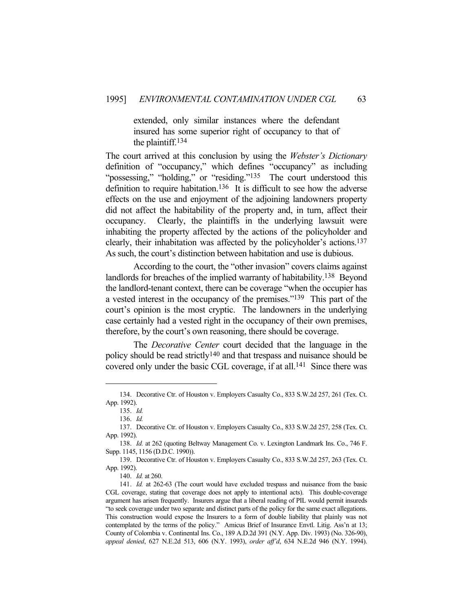extended, only similar instances where the defendant insured has some superior right of occupancy to that of the plaintiff.134

The court arrived at this conclusion by using the *Webster's Dictionary* definition of "occupancy," which defines "occupancy" as including "possessing," "holding," or "residing."<sup>135</sup> The court understood this definition to require habitation.136 It is difficult to see how the adverse effects on the use and enjoyment of the adjoining landowners property did not affect the habitability of the property and, in turn, affect their occupancy. Clearly, the plaintiffs in the underlying lawsuit were inhabiting the property affected by the actions of the policyholder and clearly, their inhabitation was affected by the policyholder's actions.137 As such, the court's distinction between habitation and use is dubious.

 According to the court, the "other invasion" covers claims against landlords for breaches of the implied warranty of habitability.138 Beyond the landlord-tenant context, there can be coverage "when the occupier has a vested interest in the occupancy of the premises."139 This part of the court's opinion is the most cryptic. The landowners in the underlying case certainly had a vested right in the occupancy of their own premises, therefore, by the court's own reasoning, there should be coverage.

 The *Decorative Center* court decided that the language in the policy should be read strictly<sup>140</sup> and that trespass and nuisance should be covered only under the basic CGL coverage, if at all.141 Since there was

 <sup>134.</sup> Decorative Ctr. of Houston v. Employers Casualty Co., 833 S.W.2d 257, 261 (Tex. Ct. App. 1992).

 <sup>135.</sup> *Id.*

 <sup>136.</sup> *Id.*

 <sup>137.</sup> Decorative Ctr. of Houston v. Employers Casualty Co., 833 S.W.2d 257, 258 (Tex. Ct. App. 1992).

 <sup>138.</sup> *Id.* at 262 (quoting Beltway Management Co. v. Lexington Landmark Ins. Co., 746 F. Supp. 1145, 1156 (D.D.C. 1990)).

 <sup>139.</sup> Decorative Ctr. of Houston v. Employers Casualty Co., 833 S.W.2d 257, 263 (Tex. Ct. App. 1992).

 <sup>140.</sup> *Id.* at 260.

 <sup>141.</sup> *Id.* at 262-63 (The court would have excluded trespass and nuisance from the basic CGL coverage, stating that coverage does not apply to intentional acts). This double-coverage argument has arisen frequently. Insurers argue that a liberal reading of PIL would permit insureds "to seek coverage under two separate and distinct parts of the policy for the same exact allegations. This construction would expose the Insurers to a form of double liability that plainly was not contemplated by the terms of the policy." Amicus Brief of Insurance Envtl. Litig. Ass'n at 13; County of Colombia v. Continental Ins. Co., 189 A.D.2d 391 (N.Y. App. Div. 1993) (No. 326-90), *appeal denied*, 627 N.E.2d 513, 606 (N.Y. 1993), *order aff'd*, 634 N.E.2d 946 (N.Y. 1994).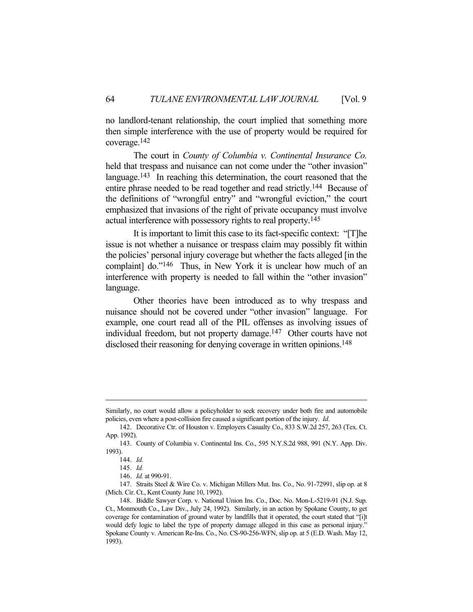no landlord-tenant relationship, the court implied that something more then simple interference with the use of property would be required for coverage.142

 The court in *County of Columbia v. Continental Insurance Co.* held that trespass and nuisance can not come under the "other invasion" language.<sup>143</sup> In reaching this determination, the court reasoned that the entire phrase needed to be read together and read strictly.144 Because of the definitions of "wrongful entry" and "wrongful eviction," the court emphasized that invasions of the right of private occupancy must involve actual interference with possessory rights to real property.145

 It is important to limit this case to its fact-specific context: "[T]he issue is not whether a nuisance or trespass claim may possibly fit within the policies' personal injury coverage but whether the facts alleged [in the complaint] do."<sup>146</sup> Thus, in New York it is unclear how much of an interference with property is needed to fall within the "other invasion" language.

 Other theories have been introduced as to why trespass and nuisance should not be covered under "other invasion" language. For example, one court read all of the PIL offenses as involving issues of individual freedom, but not property damage.147 Other courts have not disclosed their reasoning for denying coverage in written opinions.<sup>148</sup>

Similarly, no court would allow a policyholder to seek recovery under both fire and automobile policies, even where a post-collision fire caused a significant portion of the injury. *Id*.

 <sup>142.</sup> Decorative Ctr. of Houston v. Employers Casualty Co., 833 S.W.2d 257, 263 (Tex. Ct. App. 1992).

 <sup>143.</sup> County of Columbia v. Continental Ins. Co., 595 N.Y.S.2d 988, 991 (N.Y. App. Div. 1993).

 <sup>144.</sup> *Id.* 

 <sup>145.</sup> *Id.* 

 <sup>146.</sup> *Id.* at 990-91.

 <sup>147.</sup> Straits Steel & Wire Co. v. Michigan Millers Mut. Ins. Co., No. 91-72991, slip op. at 8 (Mich. Cir. Ct., Kent County June 10, 1992).

 <sup>148.</sup> Biddle Sawyer Corp. v. National Union Ins. Co., Doc. No. Mon-L-5219-91 (N.J. Sup. Ct., Monmouth Co., Law Div., July 24, 1992). Similarly, in an action by Spokane County, to get coverage for contamination of ground water by landfills that it operated, the court stated that "[i]t would defy logic to label the type of property damage alleged in this case as personal injury." Spokane County v. American Re-Ins. Co., No. CS-90-256-WFN, slip op. at 5 (E.D. Wash. May 12, 1993).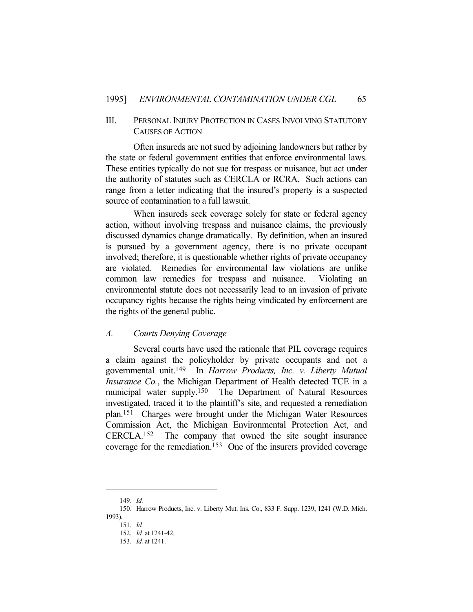## III. PERSONAL INJURY PROTECTION IN CASES INVOLVING STATUTORY CAUSES OF ACTION

 Often insureds are not sued by adjoining landowners but rather by the state or federal government entities that enforce environmental laws. These entities typically do not sue for trespass or nuisance, but act under the authority of statutes such as CERCLA or RCRA. Such actions can range from a letter indicating that the insured's property is a suspected source of contamination to a full lawsuit.

 When insureds seek coverage solely for state or federal agency action, without involving trespass and nuisance claims, the previously discussed dynamics change dramatically. By definition, when an insured is pursued by a government agency, there is no private occupant involved; therefore, it is questionable whether rights of private occupancy are violated. Remedies for environmental law violations are unlike common law remedies for trespass and nuisance. Violating an environmental statute does not necessarily lead to an invasion of private occupancy rights because the rights being vindicated by enforcement are the rights of the general public.

### *A. Courts Denying Coverage*

 Several courts have used the rationale that PIL coverage requires a claim against the policyholder by private occupants and not a governmental unit.149 In *Harrow Products, Inc. v. Liberty Mutual Insurance Co.*, the Michigan Department of Health detected TCE in a municipal water supply.150 The Department of Natural Resources investigated, traced it to the plaintiff's site, and requested a remediation plan.151 Charges were brought under the Michigan Water Resources Commission Act, the Michigan Environmental Protection Act, and CERCLA.152 The company that owned the site sought insurance coverage for the remediation.153 One of the insurers provided coverage

 <sup>149.</sup> *Id.*

 <sup>150.</sup> Harrow Products, Inc. v. Liberty Mut. Ins. Co., 833 F. Supp. 1239, 1241 (W.D. Mich. 1993).

 <sup>151.</sup> *Id.*

 <sup>152.</sup> *Id.* at 1241-42.

 <sup>153.</sup> *Id.* at 1241.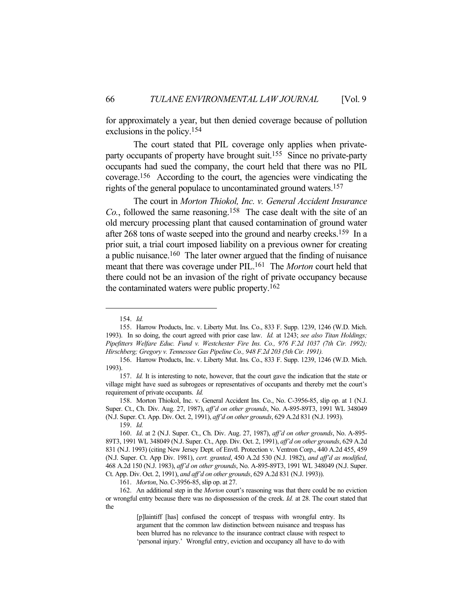for approximately a year, but then denied coverage because of pollution exclusions in the policy.154

 The court stated that PIL coverage only applies when privateparty occupants of property have brought suit.<sup>155</sup> Since no private-party occupants had sued the company, the court held that there was no PIL coverage.156 According to the court, the agencies were vindicating the rights of the general populace to uncontaminated ground waters.157

 The court in *Morton Thiokol, Inc. v. General Accident Insurance Co.*, followed the same reasoning.158 The case dealt with the site of an old mercury processing plant that caused contamination of ground water after 268 tons of waste seeped into the ground and nearby creeks.<sup>159</sup> In a prior suit, a trial court imposed liability on a previous owner for creating a public nuisance.160 The later owner argued that the finding of nuisance meant that there was coverage under PIL.161 The *Morton* court held that there could not be an invasion of the right of private occupancy because the contaminated waters were public property.162

 <sup>154.</sup> *Id.* 

 <sup>155.</sup> Harrow Products, Inc. v. Liberty Mut. Ins. Co., 833 F. Supp. 1239, 1246 (W.D. Mich. 1993). In so doing, the court agreed with prior case law. *Id.* at 1243; *see also Titan Holdings; Pipefitters Welfare Educ. Fund v. Westchester Fire Ins. Co., 976 F.2d 1037 (7th Cir. 1992); Hirschberg; Gregory v. Tennessee Gas Pipeline Co., 948 F.2d 203 (5th Cir. 1991).*

 <sup>156.</sup> Harrow Products, Inc. v. Liberty Mut. Ins. Co., 833 F. Supp. 1239, 1246 (W.D. Mich. 1993).

 <sup>157.</sup> *Id.* It is interesting to note, however, that the court gave the indication that the state or village might have sued as subrogees or representatives of occupants and thereby met the court's requirement of private occupants. *Id.*

 <sup>158.</sup> Morton Thiokol, Inc. v. General Accident Ins. Co., No. C-3956-85, slip op. at 1 (N.J. Super. Ct., Ch. Div. Aug. 27, 1987), *aff'd on other grounds*, No. A-895-89T3, 1991 WL 348049 (N.J. Super. Ct. App. Div. Oct. 2, 1991), *aff'd on other grounds*, 629 A.2d 831 (N.J. 1993).

 <sup>159.</sup> *Id.*

 <sup>160.</sup> *Id*. at 2 (N.J. Super. Ct., Ch. Div. Aug. 27, 1987), *aff'd on other grounds*, No. A-895- 89T3, 1991 WL 348049 (N.J. Super. Ct., App. Div. Oct. 2, 1991), *aff'd on other grounds*, 629 A.2d 831 (N.J. 1993) (citing New Jersey Dept. of Envtl. Protection v. Ventron Corp., 440 A.2d 455, 459 (N.J. Super. Ct. App Div. 1981), *cert. granted*, 450 A.2d 530 (N.J. 1982), *and aff'd as modified*, 468 A.2d 150 (N.J. 1983), *aff'd on other grounds*, No. A-895-89T3, 1991 WL 348049 (N.J. Super. Ct. App. Div. Oct. 2, 1991), *and aff'd on other grounds*, 629 A.2d 831 (N.J. 1993)).

 <sup>161.</sup> *Morton*, No. C-3956-85, slip op. at 27.

 <sup>162.</sup> An additional step in the *Morton* court's reasoning was that there could be no eviction or wrongful entry because there was no dispossession of the creek. *Id.* at 28. The court stated that the

<sup>[</sup>p]laintiff [has] confused the concept of trespass with wrongful entry. Its argument that the common law distinction between nuisance and trespass has been blurred has no relevance to the insurance contract clause with respect to 'personal injury.' Wrongful entry, eviction and occupancy all have to do with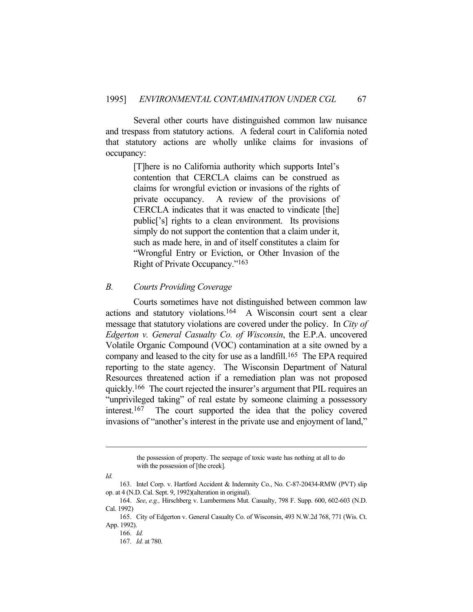Several other courts have distinguished common law nuisance and trespass from statutory actions. A federal court in California noted that statutory actions are wholly unlike claims for invasions of occupancy:

> [T]here is no California authority which supports Intel's contention that CERCLA claims can be construed as claims for wrongful eviction or invasions of the rights of private occupancy. A review of the provisions of CERCLA indicates that it was enacted to vindicate [the] public['s] rights to a clean environment. Its provisions simply do not support the contention that a claim under it, such as made here, in and of itself constitutes a claim for "Wrongful Entry or Eviction, or Other Invasion of the Right of Private Occupancy."163

### *B. Courts Providing Coverage*

 Courts sometimes have not distinguished between common law actions and statutory violations.164 A Wisconsin court sent a clear message that statutory violations are covered under the policy. In *City of Edgerton v. General Casualty Co. of Wisconsin*, the E.P.A. uncovered Volatile Organic Compound (VOC) contamination at a site owned by a company and leased to the city for use as a landfill.<sup>165</sup> The EPA required reporting to the state agency. The Wisconsin Department of Natural Resources threatened action if a remediation plan was not proposed quickly.166 The court rejected the insurer's argument that PIL requires an "unprivileged taking" of real estate by someone claiming a possessory interest.167 The court supported the idea that the policy covered invasions of "another's interest in the private use and enjoyment of land,"

the possession of property. The seepage of toxic waste has nothing at all to do with the possession of [the creek].

*Id.*

 <sup>163.</sup> Intel Corp. v. Hartford Accident & Indemnity Co., No. C-87-20434-RMW (PVT) slip op. at 4 (N.D. Cal. Sept. 9, 1992)(alteration in original).

 <sup>164.</sup> *See*, *e.g.,* Hirschberg v. Lumbermens Mut. Casualty, 798 F. Supp. 600, 602-603 (N.D. Cal. 1992)

 <sup>165.</sup> City of Edgerton v. General Casualty Co. of Wisconsin, 493 N.W.2d 768, 771 (Wis. Ct. App. 1992).

 <sup>166.</sup> *Id.*

 <sup>167.</sup> *Id.* at 780.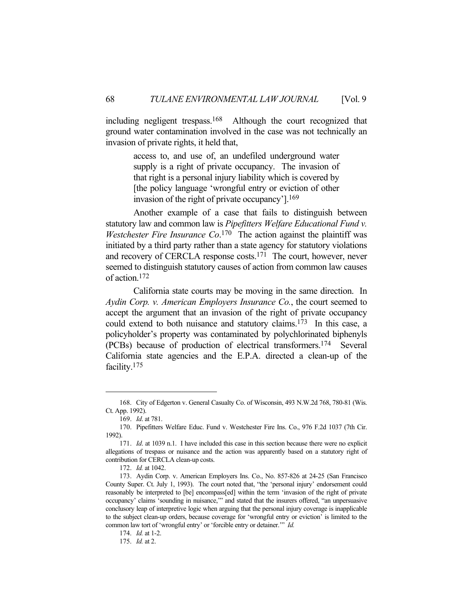including negligent trespass.168 Although the court recognized that ground water contamination involved in the case was not technically an invasion of private rights, it held that,

> access to, and use of, an undefiled underground water supply is a right of private occupancy. The invasion of that right is a personal injury liability which is covered by [the policy language 'wrongful entry or eviction of other invasion of the right of private occupancy'].169

 Another example of a case that fails to distinguish between statutory law and common law is *Pipefitters Welfare Educational Fund v. Westchester Fire Insurance Co*. 170 The action against the plaintiff was initiated by a third party rather than a state agency for statutory violations and recovery of CERCLA response costs.171 The court, however, never seemed to distinguish statutory causes of action from common law causes of action.172

 California state courts may be moving in the same direction. In *Aydin Corp. v. American Employers Insurance Co.*, the court seemed to accept the argument that an invasion of the right of private occupancy could extend to both nuisance and statutory claims.173 In this case, a policyholder's property was contaminated by polychlorinated biphenyls (PCBs) because of production of electrical transformers.174 Several California state agencies and the E.P.A. directed a clean-up of the facility.175

 <sup>168.</sup> City of Edgerton v. General Casualty Co. of Wisconsin, 493 N.W.2d 768, 780-81 (Wis. Ct. App. 1992).

 <sup>169.</sup> *Id*. at 781.

 <sup>170.</sup> Pipefitters Welfare Educ. Fund v. Westchester Fire Ins. Co., 976 F.2d 1037 (7th Cir. 1992).

 <sup>171.</sup> *Id*. at 1039 n.1. I have included this case in this section because there were no explicit allegations of trespass or nuisance and the action was apparently based on a statutory right of contribution for CERCLA clean-up costs.

 <sup>172.</sup> *Id.* at 1042.

 <sup>173.</sup> Aydin Corp. v. American Employers Ins. Co., No. 857-826 at 24-25 (San Francisco County Super. Ct. July 1, 1993). The court noted that, "the 'personal injury' endorsement could reasonably be interpreted to [be] encompass[ed] within the term 'invasion of the right of private occupancy' claims 'sounding in nuisance,'" and stated that the insurers offered, "an unpersuasive conclusory leap of interpretive logic when arguing that the personal injury coverage is inapplicable to the subject clean-up orders, because coverage for 'wrongful entry or eviction' is limited to the common law tort of 'wrongful entry' or 'forcible entry or detainer.'" *Id.*

 <sup>174.</sup> *Id.* at 1-2.

 <sup>175.</sup> *Id.* at 2.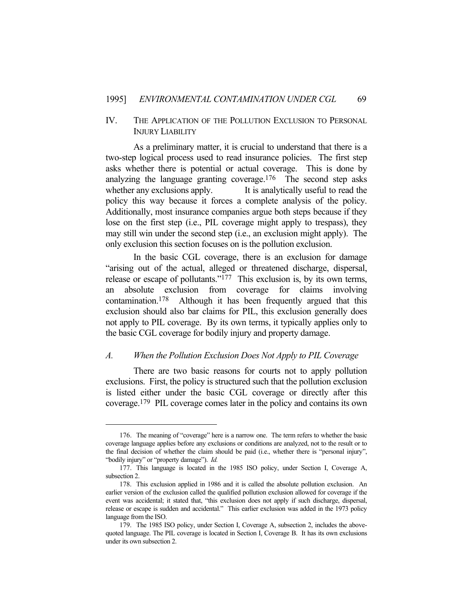## IV. THE APPLICATION OF THE POLLUTION EXCLUSION TO PERSONAL INJURY LIABILITY

 As a preliminary matter, it is crucial to understand that there is a two-step logical process used to read insurance policies. The first step asks whether there is potential or actual coverage. This is done by analyzing the language granting coverage.<sup>176</sup> The second step asks whether any exclusions apply. It is analytically useful to read the policy this way because it forces a complete analysis of the policy. Additionally, most insurance companies argue both steps because if they lose on the first step (i.e., PIL coverage might apply to trespass), they may still win under the second step (i.e., an exclusion might apply). The only exclusion this section focuses on is the pollution exclusion.

 In the basic CGL coverage, there is an exclusion for damage "arising out of the actual, alleged or threatened discharge, dispersal, release or escape of pollutants."177 This exclusion is, by its own terms, an absolute exclusion from coverage for claims involving contamination.178 Although it has been frequently argued that this exclusion should also bar claims for PIL, this exclusion generally does not apply to PIL coverage. By its own terms, it typically applies only to the basic CGL coverage for bodily injury and property damage.

### *A. When the Pollution Exclusion Does Not Apply to PIL Coverage*

 There are two basic reasons for courts not to apply pollution exclusions. First, the policy is structured such that the pollution exclusion is listed either under the basic CGL coverage or directly after this coverage.179 PIL coverage comes later in the policy and contains its own

 <sup>176.</sup> The meaning of "coverage" here is a narrow one. The term refers to whether the basic coverage language applies before any exclusions or conditions are analyzed, not to the result or to the final decision of whether the claim should be paid (i.e., whether there is "personal injury", "bodily injury" or "property damage"). *Id.* 

 <sup>177.</sup> This language is located in the 1985 ISO policy, under Section I, Coverage A, subsection 2.

 <sup>178.</sup> This exclusion applied in 1986 and it is called the absolute pollution exclusion. An earlier version of the exclusion called the qualified pollution exclusion allowed for coverage if the event was accidental; it stated that, "this exclusion does not apply if such discharge, dispersal, release or escape is sudden and accidental." This earlier exclusion was added in the 1973 policy language from the ISO.

 <sup>179.</sup> The 1985 ISO policy, under Section I, Coverage A, subsection 2, includes the abovequoted language. The PIL coverage is located in Section I, Coverage B. It has its own exclusions under its own subsection 2.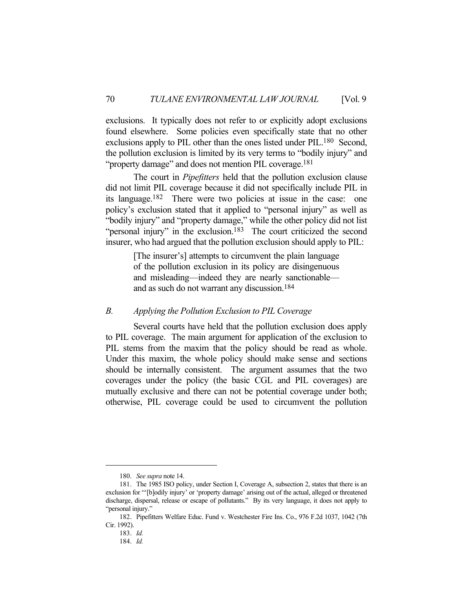exclusions. It typically does not refer to or explicitly adopt exclusions found elsewhere. Some policies even specifically state that no other exclusions apply to PIL other than the ones listed under PIL.<sup>180</sup> Second, the pollution exclusion is limited by its very terms to "bodily injury" and "property damage" and does not mention PIL coverage.<sup>181</sup>

 The court in *Pipefitters* held that the pollution exclusion clause did not limit PIL coverage because it did not specifically include PIL in its language.182 There were two policies at issue in the case: one policy's exclusion stated that it applied to "personal injury" as well as "bodily injury" and "property damage," while the other policy did not list "personal injury" in the exclusion.<sup>183</sup> The court criticized the second insurer, who had argued that the pollution exclusion should apply to PIL:

> [The insurer's] attempts to circumvent the plain language of the pollution exclusion in its policy are disingenuous and misleading—indeed they are nearly sanctionable and as such do not warrant any discussion.184

### *B. Applying the Pollution Exclusion to PIL Coverage*

 Several courts have held that the pollution exclusion does apply to PIL coverage. The main argument for application of the exclusion to PIL stems from the maxim that the policy should be read as whole. Under this maxim, the whole policy should make sense and sections should be internally consistent. The argument assumes that the two coverages under the policy (the basic CGL and PIL coverages) are mutually exclusive and there can not be potential coverage under both; otherwise, PIL coverage could be used to circumvent the pollution

 <sup>180.</sup> *See supra* note 14.

 <sup>181.</sup> The 1985 ISO policy, under Section I, Coverage A, subsection 2, states that there is an exclusion for "'[b]odily injury' or 'property damage' arising out of the actual, alleged or threatened discharge, dispersal, release or escape of pollutants." By its very language, it does not apply to "personal injury."

 <sup>182.</sup> Pipefitters Welfare Educ. Fund v. Westchester Fire Ins. Co., 976 F.2d 1037, 1042 (7th Cir. 1992).

 <sup>183.</sup> *Id.* 

 <sup>184.</sup> *Id.*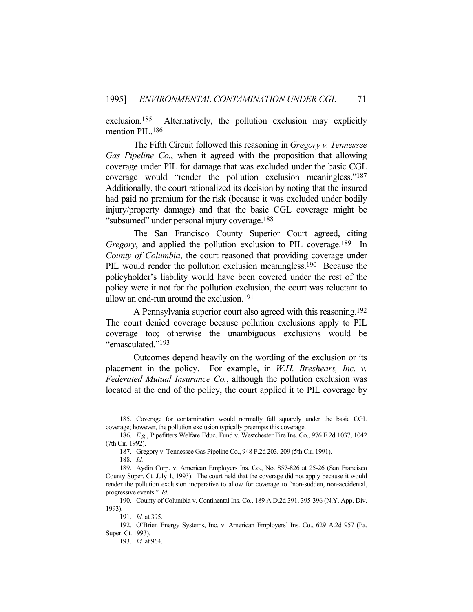exclusion.185 Alternatively, the pollution exclusion may explicitly mention PIL.<sup>186</sup>

 The Fifth Circuit followed this reasoning in *Gregory v. Tennessee Gas Pipeline Co.*, when it agreed with the proposition that allowing coverage under PIL for damage that was excluded under the basic CGL coverage would "render the pollution exclusion meaningless."187 Additionally, the court rationalized its decision by noting that the insured had paid no premium for the risk (because it was excluded under bodily injury/property damage) and that the basic CGL coverage might be "subsumed" under personal injury coverage.188

 The San Francisco County Superior Court agreed, citing *Gregory*, and applied the pollution exclusion to PIL coverage.<sup>189</sup> In *County of Columbia*, the court reasoned that providing coverage under PIL would render the pollution exclusion meaningless.<sup>190</sup> Because the policyholder's liability would have been covered under the rest of the policy were it not for the pollution exclusion, the court was reluctant to allow an end-run around the exclusion.191

 A Pennsylvania superior court also agreed with this reasoning.192 The court denied coverage because pollution exclusions apply to PIL coverage too; otherwise the unambiguous exclusions would be "emasculated."193

 Outcomes depend heavily on the wording of the exclusion or its placement in the policy. For example, in *W.H. Breshears, Inc. v. Federated Mutual Insurance Co.*, although the pollution exclusion was located at the end of the policy, the court applied it to PIL coverage by

 <sup>185.</sup> Coverage for contamination would normally fall squarely under the basic CGL coverage; however, the pollution exclusion typically preempts this coverage.

 <sup>186.</sup> *E.g.*, Pipefitters Welfare Educ. Fund v. Westchester Fire Ins. Co., 976 F.2d 1037, 1042 (7th Cir. 1992).

 <sup>187.</sup> Gregory v. Tennessee Gas Pipeline Co., 948 F.2d 203, 209 (5th Cir. 1991).

 <sup>188.</sup> *Id.*

 <sup>189.</sup> Aydin Corp. v. American Employers Ins. Co., No. 857-826 at 25-26 (San Francisco County Super. Ct. July 1, 1993). The court held that the coverage did not apply because it would render the pollution exclusion inoperative to allow for coverage to "non-sudden, non-accidental, progressive events." *Id.*

 <sup>190.</sup> County of Columbia v. Continental Ins. Co., 189 A.D.2d 391, 395-396 (N.Y. App. Div. 1993).

 <sup>191.</sup> *Id.* at 395.

 <sup>192.</sup> O'Brien Energy Systems, Inc. v. American Employers' Ins. Co., 629 A.2d 957 (Pa. Super. Ct. 1993).

 <sup>193.</sup> *Id.* at 964.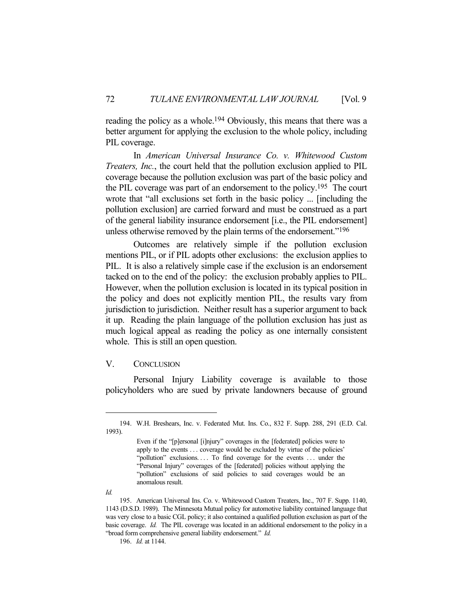reading the policy as a whole.<sup>194</sup> Obviously, this means that there was a better argument for applying the exclusion to the whole policy, including PIL coverage.

 In *American Universal Insurance Co. v. Whitewood Custom Treaters, Inc.*, the court held that the pollution exclusion applied to PIL coverage because the pollution exclusion was part of the basic policy and the PIL coverage was part of an endorsement to the policy.195 The court wrote that "all exclusions set forth in the basic policy ... [including the pollution exclusion] are carried forward and must be construed as a part of the general liability insurance endorsement [i.e., the PIL endorsement] unless otherwise removed by the plain terms of the endorsement."<sup>196</sup>

 Outcomes are relatively simple if the pollution exclusion mentions PIL, or if PIL adopts other exclusions: the exclusion applies to PIL. It is also a relatively simple case if the exclusion is an endorsement tacked on to the end of the policy: the exclusion probably applies to PIL. However, when the pollution exclusion is located in its typical position in the policy and does not explicitly mention PIL, the results vary from jurisdiction to jurisdiction. Neither result has a superior argument to back it up. Reading the plain language of the pollution exclusion has just as much logical appeal as reading the policy as one internally consistent whole. This is still an open question.

### V. CONCLUSION

 Personal Injury Liability coverage is available to those policyholders who are sued by private landowners because of ground

*Id.*

 <sup>194.</sup> W.H. Breshears, Inc. v. Federated Mut. Ins. Co., 832 F. Supp. 288, 291 (E.D. Cal. 1993).

Even if the "[p]ersonal [i]njury" coverages in the [federated] policies were to apply to the events . . . coverage would be excluded by virtue of the policies' "pollution" exclusions. . . . To find coverage for the events . . . under the "Personal Injury" coverages of the [federated] policies without applying the "pollution" exclusions of said policies to said coverages would be an anomalous result.

 <sup>195.</sup> American Universal Ins. Co. v. Whitewood Custom Treaters, Inc., 707 F. Supp. 1140, 1143 (D.S.D. 1989). The Minnesota Mutual policy for automotive liability contained language that was very close to a basic CGL policy; it also contained a qualified pollution exclusion as part of the basic coverage. *Id.* The PIL coverage was located in an additional endorsement to the policy in a "broad form comprehensive general liability endorsement." *Id.*